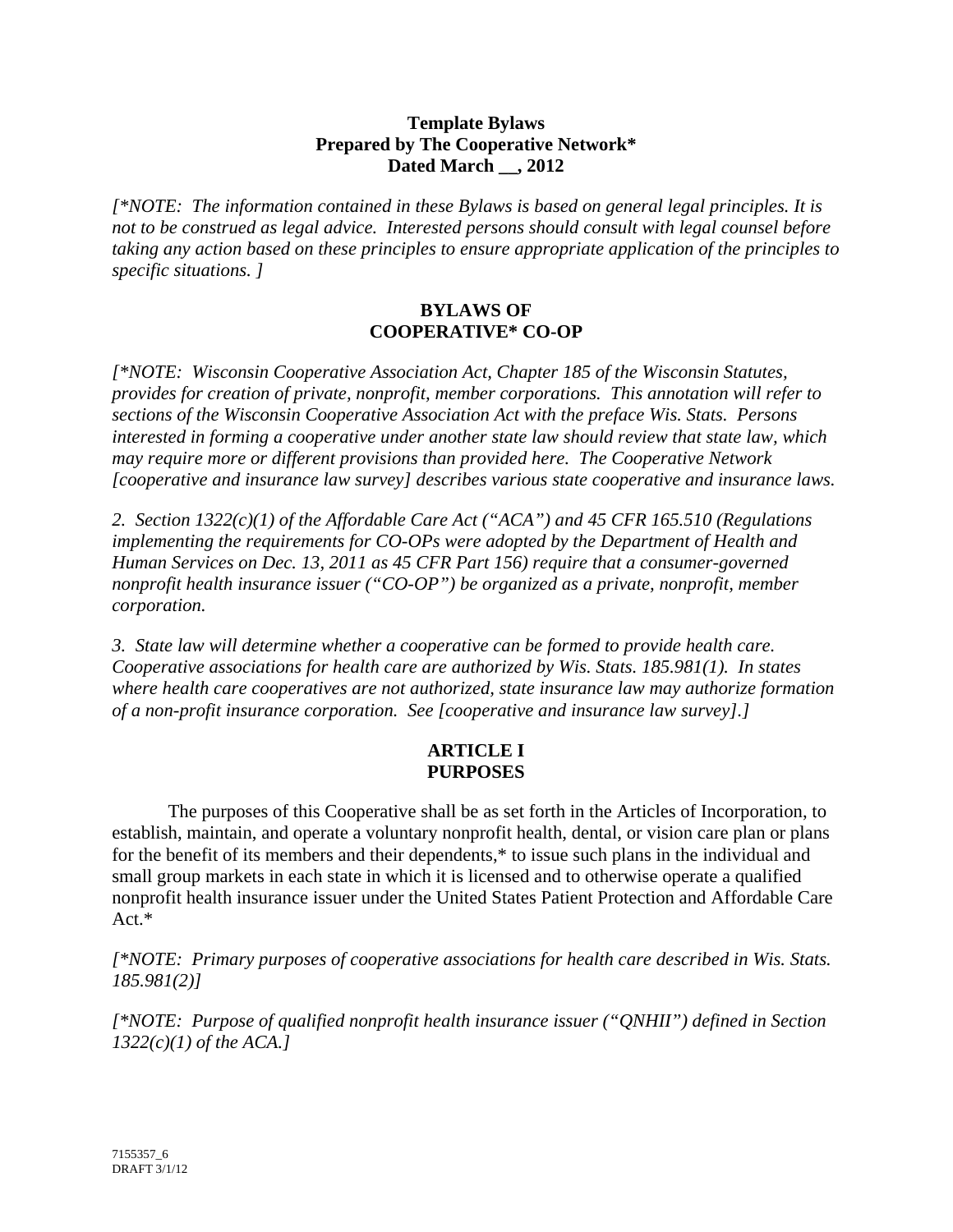#### **Template Bylaws Prepared by The Cooperative Network\* Dated March \_\_, 2012**

*[\*NOTE: The information contained in these Bylaws is based on general legal principles. It is not to be construed as legal advice. Interested persons should consult with legal counsel before taking any action based on these principles to ensure appropriate application of the principles to specific situations. ]* 

### **BYLAWS OF COOPERATIVE\* CO-OP**

*[\*NOTE: Wisconsin Cooperative Association Act, Chapter 185 of the Wisconsin Statutes, provides for creation of private, nonprofit, member corporations. This annotation will refer to sections of the Wisconsin Cooperative Association Act with the preface Wis. Stats. Persons interested in forming a cooperative under another state law should review that state law, which may require more or different provisions than provided here. The Cooperative Network [cooperative and insurance law survey] describes various state cooperative and insurance laws.* 

*2. Section 1322(c)(1) of the Affordable Care Act ("ACA") and 45 CFR 165.510 (Regulations implementing the requirements for CO-OPs were adopted by the Department of Health and Human Services on Dec. 13, 2011 as 45 CFR Part 156) require that a consumer-governed nonprofit health insurance issuer ("CO-OP") be organized as a private, nonprofit, member corporation.* 

*3. State law will determine whether a cooperative can be formed to provide health care. Cooperative associations for health care are authorized by Wis. Stats. 185.981(1). In states where health care cooperatives are not authorized, state insurance law may authorize formation of a non-profit insurance corporation. See [cooperative and insurance law survey].]* 

# **ARTICLE I PURPOSES**

The purposes of this Cooperative shall be as set forth in the Articles of Incorporation, to establish, maintain, and operate a voluntary nonprofit health, dental, or vision care plan or plans for the benefit of its members and their dependents,\* to issue such plans in the individual and small group markets in each state in which it is licensed and to otherwise operate a qualified nonprofit health insurance issuer under the United States Patient Protection and Affordable Care Act.\*

*[\*NOTE: Primary purposes of cooperative associations for health care described in Wis. Stats. 185.981(2)]* 

*[\*NOTE: Purpose of qualified nonprofit health insurance issuer ("QNHII") defined in Section 1322(c)(1) of the ACA.]*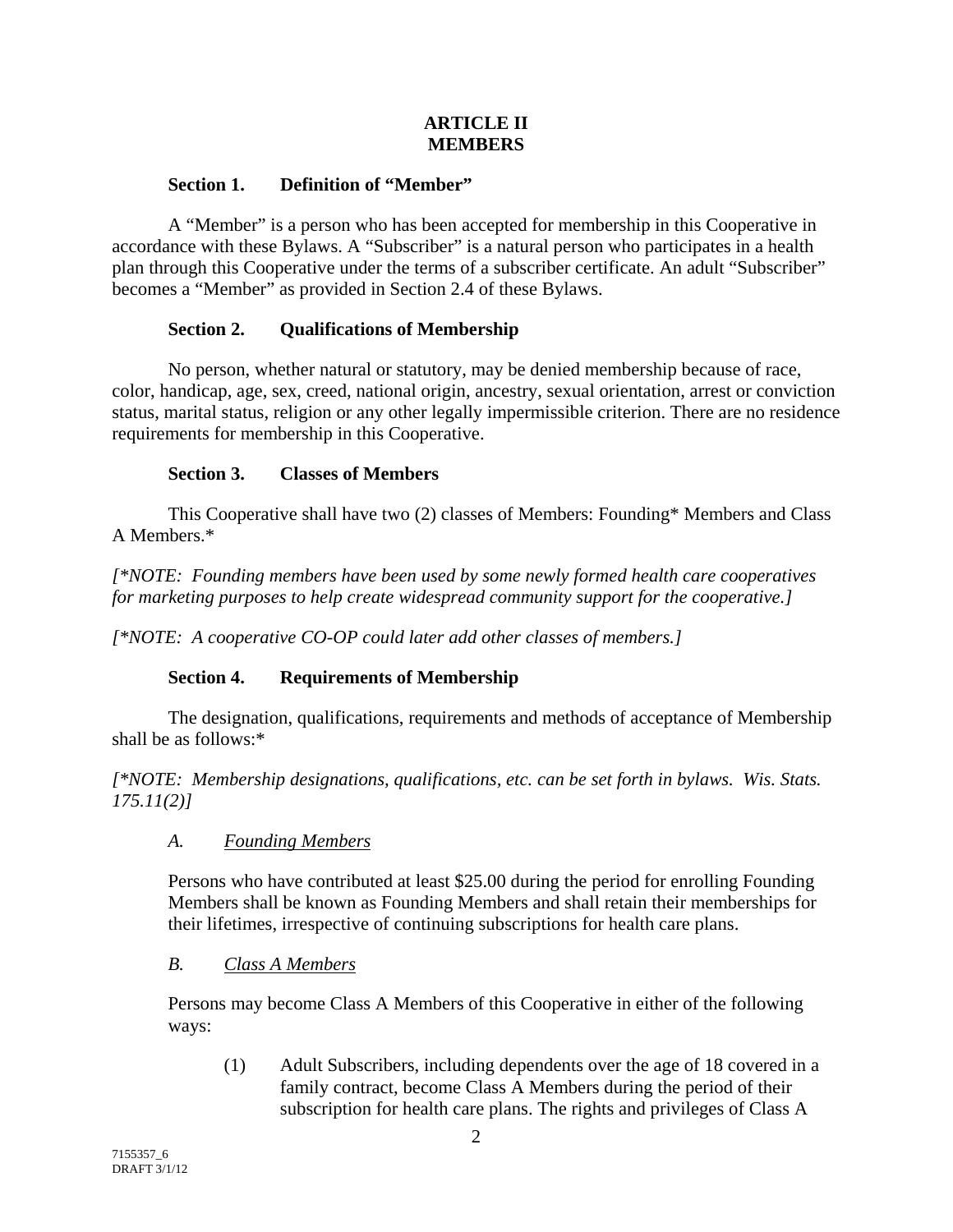### **ARTICLE II MEMBERS**

### **Section 1. Definition of "Member"**

A "Member" is a person who has been accepted for membership in this Cooperative in accordance with these Bylaws. A "Subscriber" is a natural person who participates in a health plan through this Cooperative under the terms of a subscriber certificate. An adult "Subscriber" becomes a "Member" as provided in Section 2.4 of these Bylaws.

## **Section 2. Qualifications of Membership**

No person, whether natural or statutory, may be denied membership because of race, color, handicap, age, sex, creed, national origin, ancestry, sexual orientation, arrest or conviction status, marital status, religion or any other legally impermissible criterion. There are no residence requirements for membership in this Cooperative.

## **Section 3. Classes of Members**

This Cooperative shall have two (2) classes of Members: Founding\* Members and Class A Members.\*

*[\*NOTE: Founding members have been used by some newly formed health care cooperatives for marketing purposes to help create widespread community support for the cooperative.]* 

*[\*NOTE: A cooperative CO-OP could later add other classes of members.]* 

# **Section 4. Requirements of Membership**

The designation, qualifications, requirements and methods of acceptance of Membership shall be as follows:\*

*[\*NOTE: Membership designations, qualifications, etc. can be set forth in bylaws. Wis. Stats. 175.11(2)]* 

### *A. Founding Members*

Persons who have contributed at least \$25.00 during the period for enrolling Founding Members shall be known as Founding Members and shall retain their memberships for their lifetimes, irrespective of continuing subscriptions for health care plans.

### *B. Class A Members*

Persons may become Class A Members of this Cooperative in either of the following ways:

(1) Adult Subscribers, including dependents over the age of 18 covered in a family contract, become Class A Members during the period of their subscription for health care plans. The rights and privileges of Class A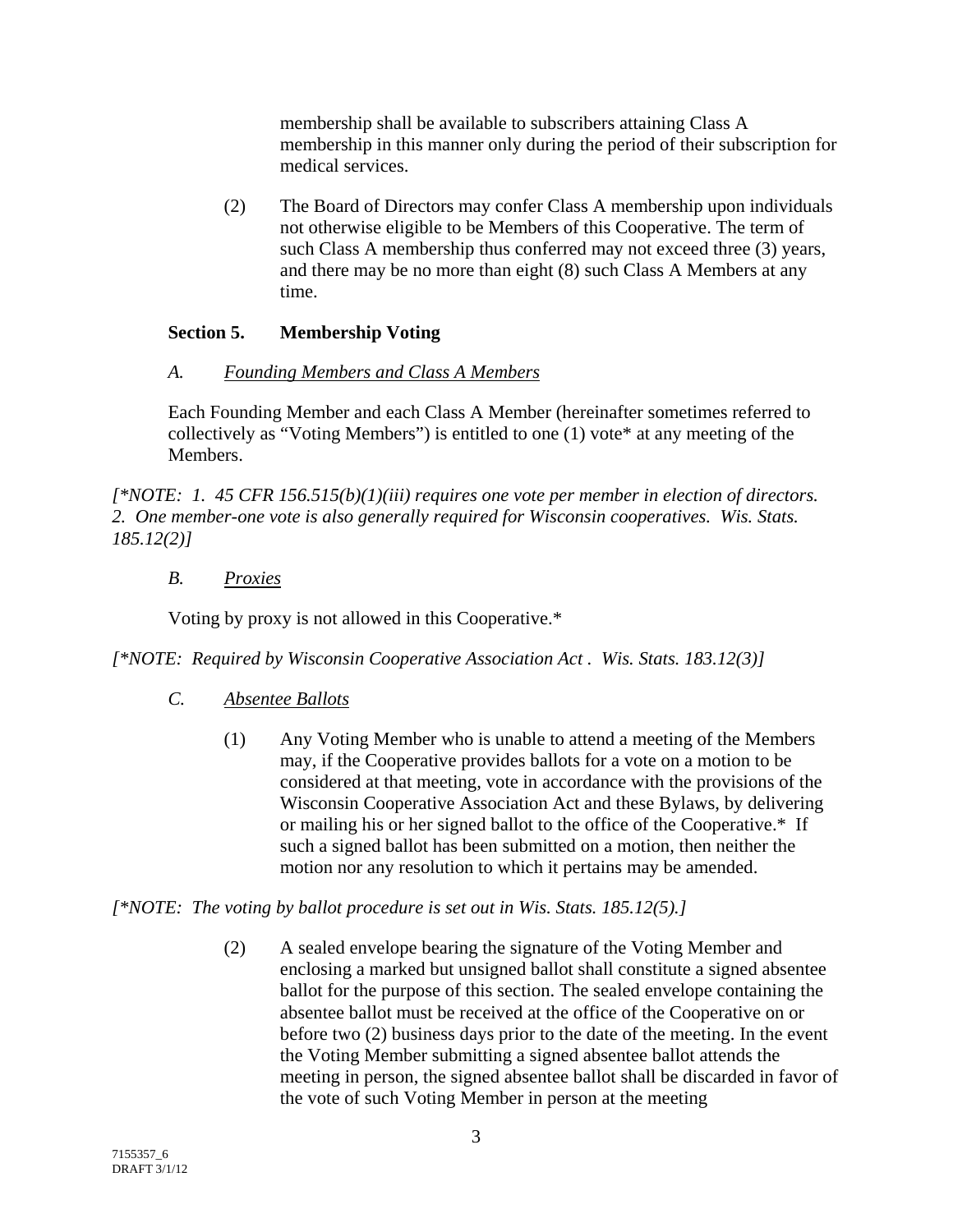membership shall be available to subscribers attaining Class A membership in this manner only during the period of their subscription for medical services.

(2) The Board of Directors may confer Class A membership upon individuals not otherwise eligible to be Members of this Cooperative. The term of such Class A membership thus conferred may not exceed three (3) years, and there may be no more than eight (8) such Class A Members at any time.

### **Section 5. Membership Voting**

### *A. Founding Members and Class A Members*

Each Founding Member and each Class A Member (hereinafter sometimes referred to collectively as "Voting Members") is entitled to one (1) vote\* at any meeting of the Members.

*[\*NOTE: 1. 45 CFR 156.515(b)(1)(iii) requires one vote per member in election of directors. 2. One member-one vote is also generally required for Wisconsin cooperatives. Wis. Stats. 185.12(2)]* 

## *B. Proxies*

Voting by proxy is not allowed in this Cooperative.\*

*[\*NOTE: Required by Wisconsin Cooperative Association Act . Wis. Stats. 183.12(3)]* 

- *C. Absentee Ballots*
	- (1) Any Voting Member who is unable to attend a meeting of the Members may, if the Cooperative provides ballots for a vote on a motion to be considered at that meeting, vote in accordance with the provisions of the Wisconsin Cooperative Association Act and these Bylaws, by delivering or mailing his or her signed ballot to the office of the Cooperative.\* If such a signed ballot has been submitted on a motion, then neither the motion nor any resolution to which it pertains may be amended.

*[\*NOTE: The voting by ballot procedure is set out in Wis. Stats. 185.12(5).]* 

(2) A sealed envelope bearing the signature of the Voting Member and enclosing a marked but unsigned ballot shall constitute a signed absentee ballot for the purpose of this section. The sealed envelope containing the absentee ballot must be received at the office of the Cooperative on or before two (2) business days prior to the date of the meeting. In the event the Voting Member submitting a signed absentee ballot attends the meeting in person, the signed absentee ballot shall be discarded in favor of the vote of such Voting Member in person at the meeting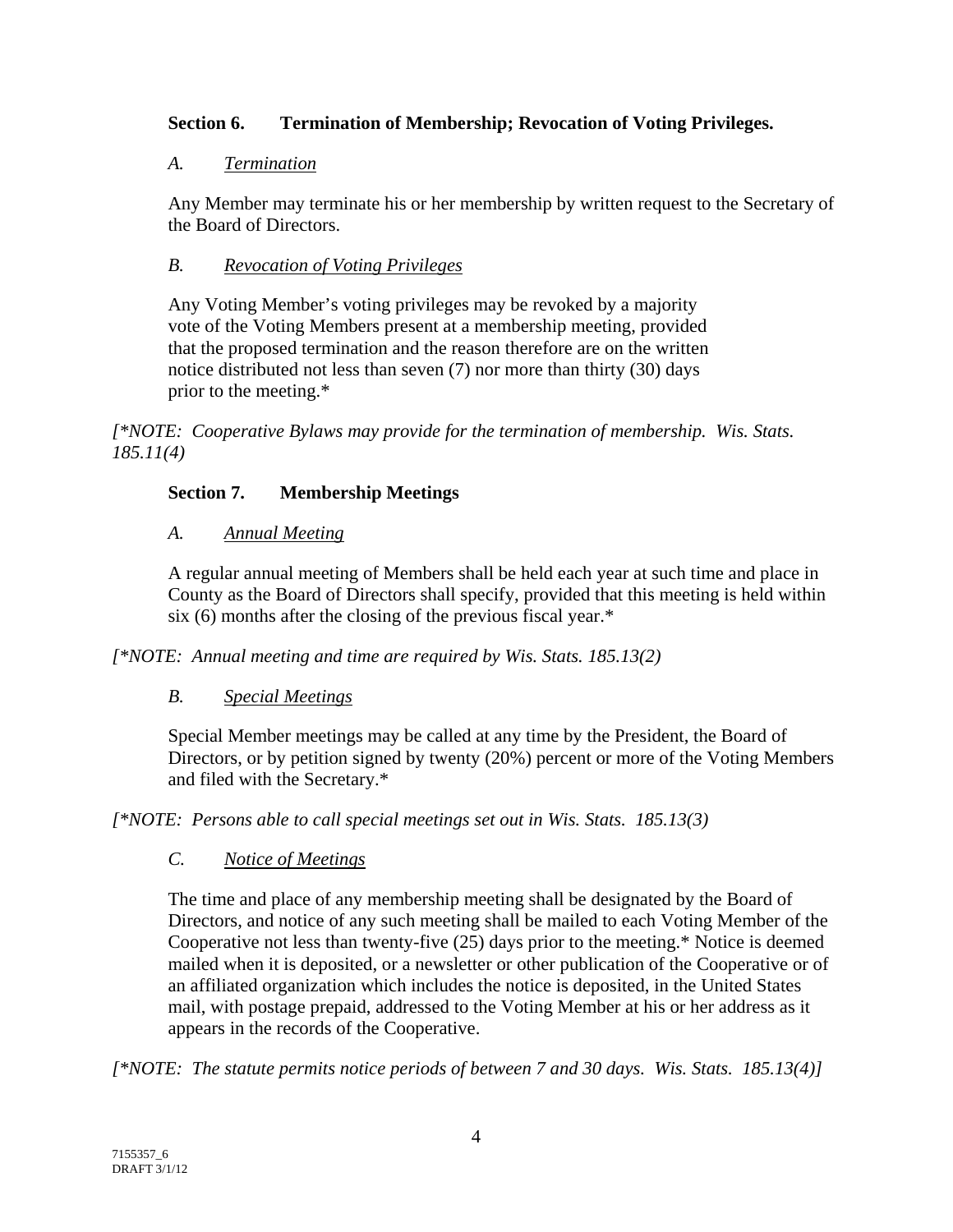## **Section 6. Termination of Membership; Revocation of Voting Privileges.**

### *A. Termination*

Any Member may terminate his or her membership by written request to the Secretary of the Board of Directors.

## *B. Revocation of Voting Privileges*

Any Voting Member's voting privileges may be revoked by a majority vote of the Voting Members present at a membership meeting, provided that the proposed termination and the reason therefore are on the written notice distributed not less than seven (7) nor more than thirty (30) days prior to the meeting.\*

*[\*NOTE: Cooperative Bylaws may provide for the termination of membership. Wis. Stats. 185.11(4)* 

# **Section 7. Membership Meetings**

## *A. Annual Meeting*

A regular annual meeting of Members shall be held each year at such time and place in County as the Board of Directors shall specify, provided that this meeting is held within six (6) months after the closing of the previous fiscal year.\*

*[\*NOTE: Annual meeting and time are required by Wis. Stats. 185.13(2)* 

# *B. Special Meetings*

Special Member meetings may be called at any time by the President, the Board of Directors, or by petition signed by twenty (20%) percent or more of the Voting Members and filed with the Secretary.\*

*[\*NOTE: Persons able to call special meetings set out in Wis. Stats. 185.13(3)* 

# *C. Notice of Meetings*

The time and place of any membership meeting shall be designated by the Board of Directors, and notice of any such meeting shall be mailed to each Voting Member of the Cooperative not less than twenty-five (25) days prior to the meeting.\* Notice is deemed mailed when it is deposited, or a newsletter or other publication of the Cooperative or of an affiliated organization which includes the notice is deposited, in the United States mail, with postage prepaid, addressed to the Voting Member at his or her address as it appears in the records of the Cooperative.

*[\*NOTE: The statute permits notice periods of between 7 and 30 days. Wis. Stats. 185.13(4)]*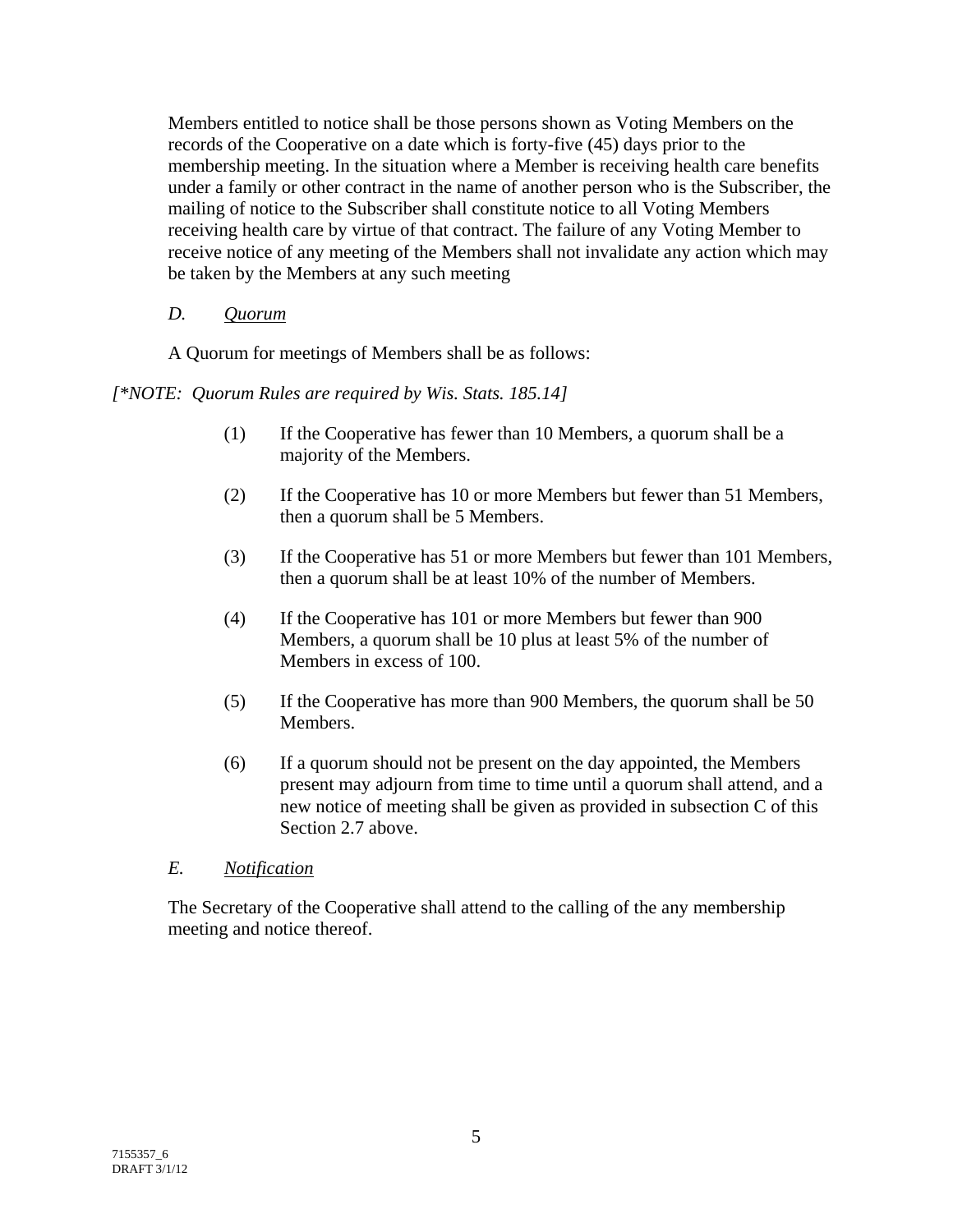Members entitled to notice shall be those persons shown as Voting Members on the records of the Cooperative on a date which is forty-five (45) days prior to the membership meeting. In the situation where a Member is receiving health care benefits under a family or other contract in the name of another person who is the Subscriber, the mailing of notice to the Subscriber shall constitute notice to all Voting Members receiving health care by virtue of that contract. The failure of any Voting Member to receive notice of any meeting of the Members shall not invalidate any action which may be taken by the Members at any such meeting

## *D. Quorum*

A Quorum for meetings of Members shall be as follows:

### *[\*NOTE: Quorum Rules are required by Wis. Stats. 185.14]*

- (1) If the Cooperative has fewer than 10 Members, a quorum shall be a majority of the Members.
- (2) If the Cooperative has 10 or more Members but fewer than 51 Members, then a quorum shall be 5 Members.
- (3) If the Cooperative has 51 or more Members but fewer than 101 Members, then a quorum shall be at least 10% of the number of Members.
- (4) If the Cooperative has 101 or more Members but fewer than 900 Members, a quorum shall be 10 plus at least 5% of the number of Members in excess of 100.
- (5) If the Cooperative has more than 900 Members, the quorum shall be 50 Members.
- (6) If a quorum should not be present on the day appointed, the Members present may adjourn from time to time until a quorum shall attend, and a new notice of meeting shall be given as provided in subsection C of this Section 2.7 above.

### *E. Notification*

The Secretary of the Cooperative shall attend to the calling of the any membership meeting and notice thereof.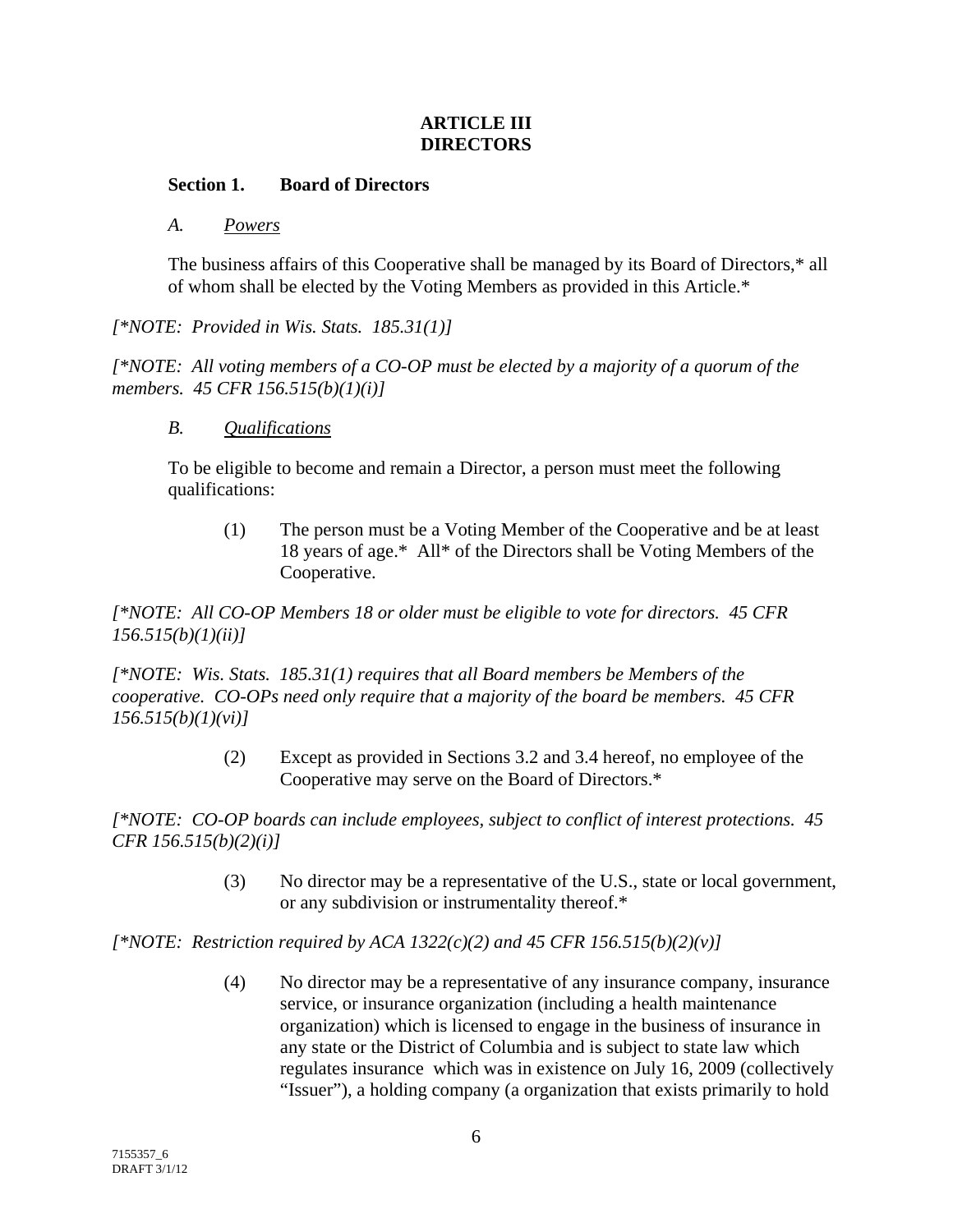### **ARTICLE III DIRECTORS**

### **Section 1. Board of Directors**

### *A. Powers*

The business affairs of this Cooperative shall be managed by its Board of Directors,\* all of whom shall be elected by the Voting Members as provided in this Article.\*

### *[\*NOTE: Provided in Wis. Stats. 185.31(1)]*

*[\*NOTE: All voting members of a CO-OP must be elected by a majority of a quorum of the members. 45 CFR 156.515(b)(1)(i)]* 

#### *B. Qualifications*

To be eligible to become and remain a Director, a person must meet the following qualifications:

(1) The person must be a Voting Member of the Cooperative and be at least 18 years of age.\* All\* of the Directors shall be Voting Members of the Cooperative.

*[\*NOTE: All CO-OP Members 18 or older must be eligible to vote for directors. 45 CFR 156.515(b)(1)(ii)]* 

*[\*NOTE: Wis. Stats. 185.31(1) requires that all Board members be Members of the cooperative. CO-OPs need only require that a majority of the board be members. 45 CFR 156.515(b)(1)(vi)]* 

> (2) Except as provided in Sections 3.2 and 3.4 hereof, no employee of the Cooperative may serve on the Board of Directors.\*

*[\*NOTE: CO-OP boards can include employees, subject to conflict of interest protections. 45 CFR 156.515(b)(2)(i)]*

> (3) No director may be a representative of the U.S., state or local government, or any subdivision or instrumentality thereof.\*

 $[*/NOTE:$  Restriction required by ACA 1322(c)(2) and 45 CFR 156.515(b)(2)(v)]

(4) No director may be a representative of any insurance company, insurance service, or insurance organization (including a health maintenance organization) which is licensed to engage in the business of insurance in any state or the District of Columbia and is subject to state law which regulates insurance which was in existence on July 16, 2009 (collectively "Issuer"), a holding company (a organization that exists primarily to hold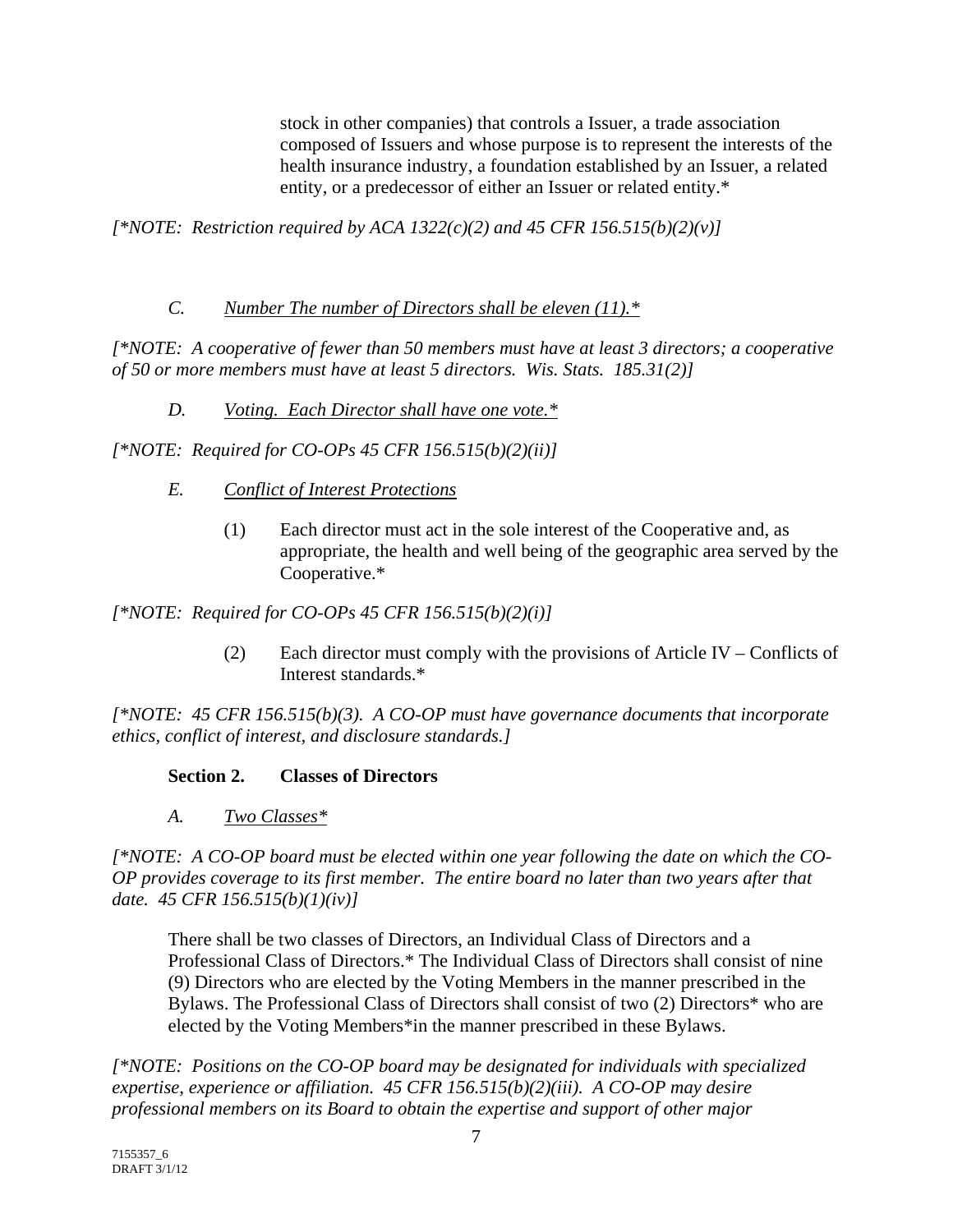stock in other companies) that controls a Issuer, a trade association composed of Issuers and whose purpose is to represent the interests of the health insurance industry, a foundation established by an Issuer, a related entity, or a predecessor of either an Issuer or related entity.\*

*[\*NOTE: Restriction required by ACA 1322(c)(2) and 45 CFR 156.515(b)(2)(v)]* 

### *C. Number The number of Directors shall be eleven (11).\**

*[\*NOTE: A cooperative of fewer than 50 members must have at least 3 directors; a cooperative of 50 or more members must have at least 5 directors. Wis. Stats. 185.31(2)]* 

*D. Voting. Each Director shall have one vote.\**

*[\*NOTE: Required for CO-OPs 45 CFR 156.515(b)(2)(ii)]* 

- *E. Conflict of Interest Protections*
	- (1) Each director must act in the sole interest of the Cooperative and, as appropriate, the health and well being of the geographic area served by the Cooperative.\*

*[\*NOTE: Required for CO-OPs 45 CFR 156.515(b)(2)(i)]* 

(2) Each director must comply with the provisions of Article IV – Conflicts of Interest standards.\*

*[\*NOTE: 45 CFR 156.515(b)(3). A CO-OP must have governance documents that incorporate ethics, conflict of interest, and disclosure standards.]* 

### **Section 2. Classes of Directors**

*A. Two Classes\**

*[\*NOTE: A CO-OP board must be elected within one year following the date on which the CO-OP provides coverage to its first member. The entire board no later than two years after that date. 45 CFR 156.515(b)(1)(iv)]* 

There shall be two classes of Directors, an Individual Class of Directors and a Professional Class of Directors.\* The Individual Class of Directors shall consist of nine (9) Directors who are elected by the Voting Members in the manner prescribed in the Bylaws. The Professional Class of Directors shall consist of two (2) Directors\* who are elected by the Voting Members\*in the manner prescribed in these Bylaws.

*[\*NOTE: Positions on the CO-OP board may be designated for individuals with specialized expertise, experience or affiliation. 45 CFR 156.515(b)(2)(iii). A CO-OP may desire professional members on its Board to obtain the expertise and support of other major*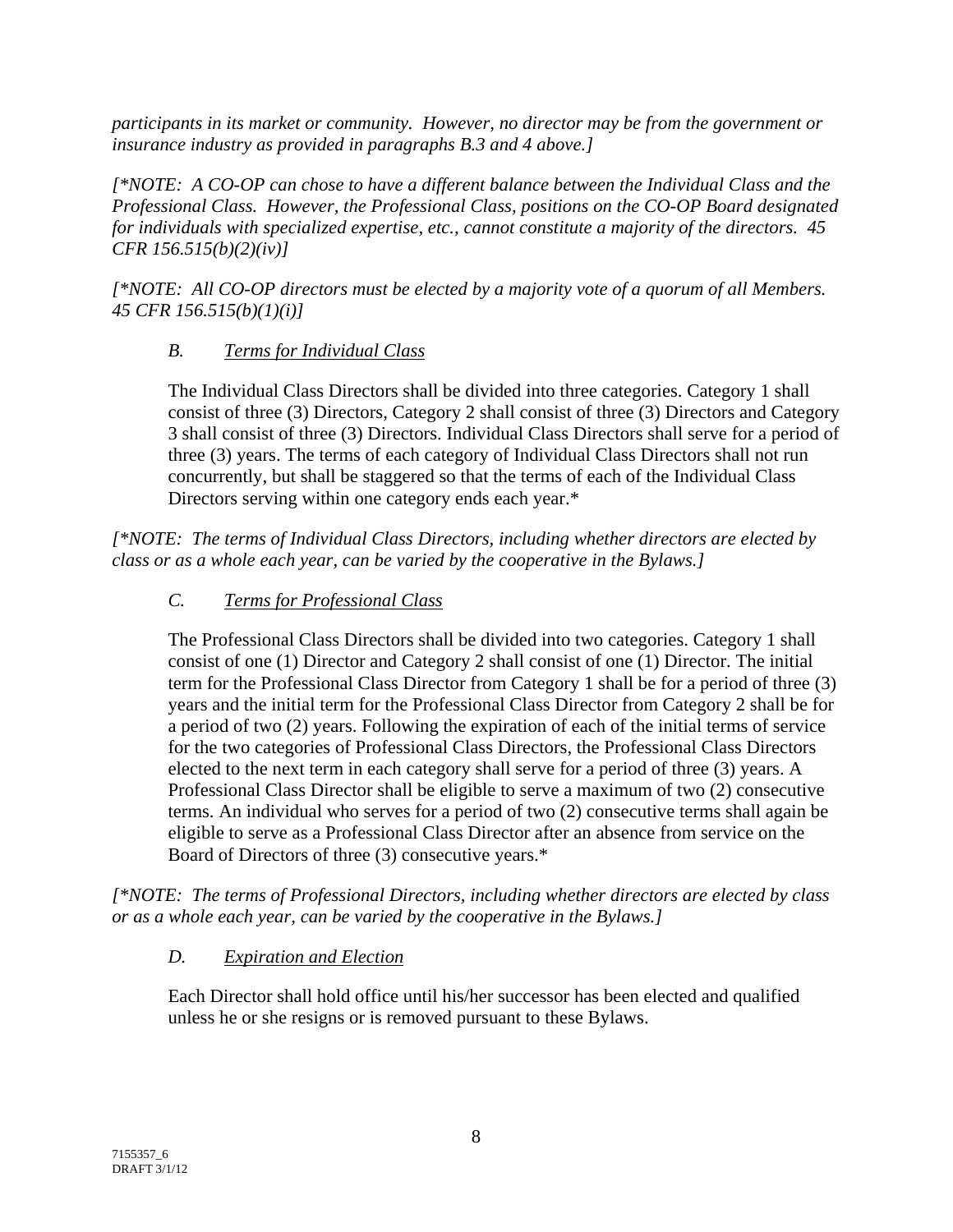*participants in its market or community. However, no director may be from the government or insurance industry as provided in paragraphs B.3 and 4 above.]* 

*[\*NOTE: A CO-OP can chose to have a different balance between the Individual Class and the Professional Class. However, the Professional Class, positions on the CO-OP Board designated for individuals with specialized expertise, etc., cannot constitute a majority of the directors. 45 CFR 156.515(b)(2)(iv)]* 

*[\*NOTE: All CO-OP directors must be elected by a majority vote of a quorum of all Members. 45 CFR 156.515(b)(1)(i)]* 

# *B. Terms for Individual Class*

The Individual Class Directors shall be divided into three categories. Category 1 shall consist of three (3) Directors, Category 2 shall consist of three (3) Directors and Category 3 shall consist of three (3) Directors. Individual Class Directors shall serve for a period of three (3) years. The terms of each category of Individual Class Directors shall not run concurrently, but shall be staggered so that the terms of each of the Individual Class Directors serving within one category ends each year.\*

*[\*NOTE: The terms of Individual Class Directors, including whether directors are elected by class or as a whole each year, can be varied by the cooperative in the Bylaws.]* 

## *C. Terms for Professional Class*

The Professional Class Directors shall be divided into two categories. Category 1 shall consist of one (1) Director and Category 2 shall consist of one (1) Director. The initial term for the Professional Class Director from Category 1 shall be for a period of three (3) years and the initial term for the Professional Class Director from Category 2 shall be for a period of two (2) years. Following the expiration of each of the initial terms of service for the two categories of Professional Class Directors, the Professional Class Directors elected to the next term in each category shall serve for a period of three (3) years. A Professional Class Director shall be eligible to serve a maximum of two (2) consecutive terms. An individual who serves for a period of two (2) consecutive terms shall again be eligible to serve as a Professional Class Director after an absence from service on the Board of Directors of three (3) consecutive years.\*

*[\*NOTE: The terms of Professional Directors, including whether directors are elected by class or as a whole each year, can be varied by the cooperative in the Bylaws.]* 

### *D. Expiration and Election*

Each Director shall hold office until his/her successor has been elected and qualified unless he or she resigns or is removed pursuant to these Bylaws.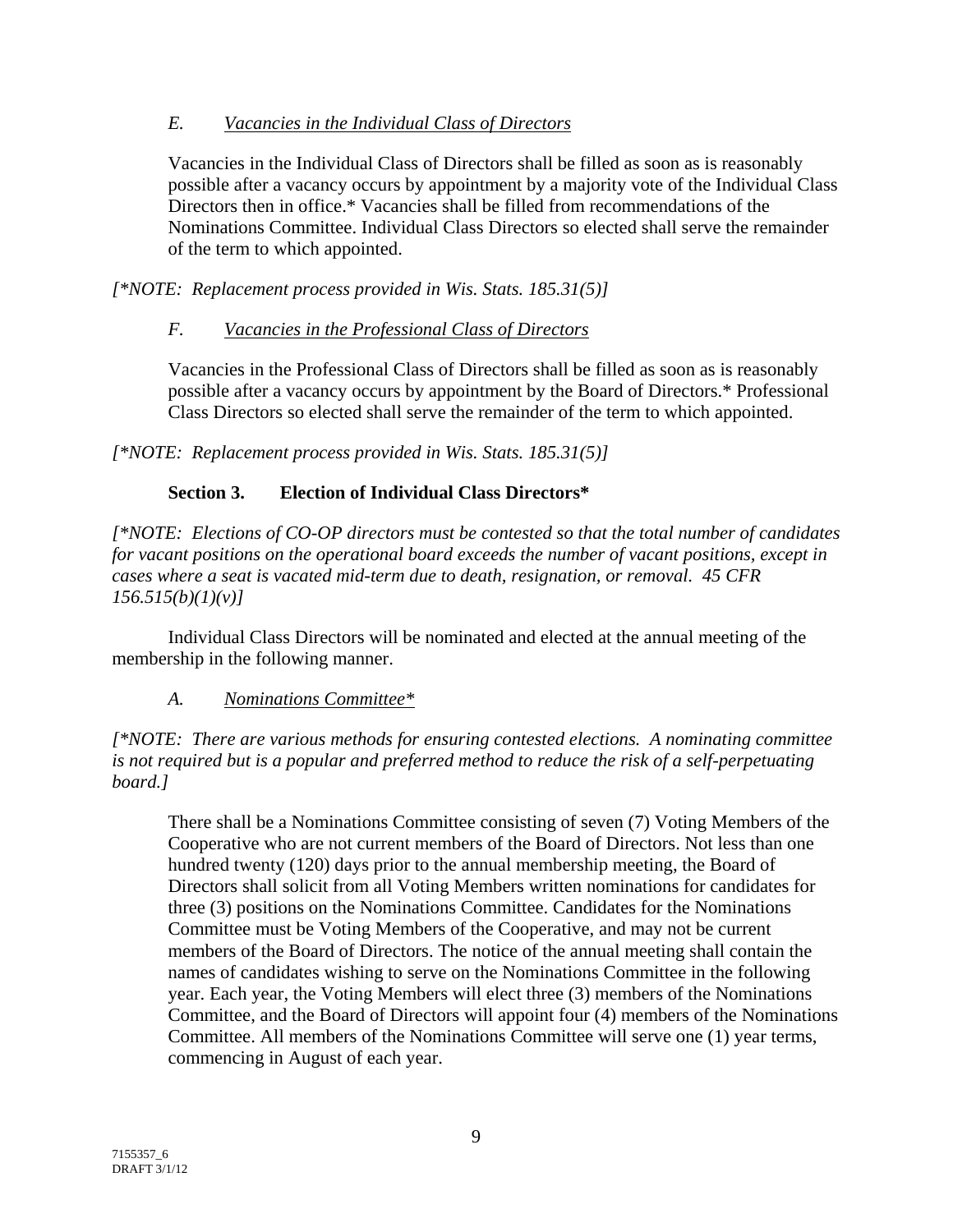### *E. Vacancies in the Individual Class of Directors*

Vacancies in the Individual Class of Directors shall be filled as soon as is reasonably possible after a vacancy occurs by appointment by a majority vote of the Individual Class Directors then in office.\* Vacancies shall be filled from recommendations of the Nominations Committee. Individual Class Directors so elected shall serve the remainder of the term to which appointed.

*[\*NOTE: Replacement process provided in Wis. Stats. 185.31(5)]* 

## *F. Vacancies in the Professional Class of Directors*

Vacancies in the Professional Class of Directors shall be filled as soon as is reasonably possible after a vacancy occurs by appointment by the Board of Directors.\* Professional Class Directors so elected shall serve the remainder of the term to which appointed.

*[\*NOTE: Replacement process provided in Wis. Stats. 185.31(5)]* 

# **Section 3. Election of Individual Class Directors\***

*[\*NOTE: Elections of CO-OP directors must be contested so that the total number of candidates for vacant positions on the operational board exceeds the number of vacant positions, except in cases where a seat is vacated mid-term due to death, resignation, or removal. 45 CFR 156.515(b)(1)(v)]* 

Individual Class Directors will be nominated and elected at the annual meeting of the membership in the following manner.

# *A. Nominations Committee\**

*[\*NOTE: There are various methods for ensuring contested elections. A nominating committee is not required but is a popular and preferred method to reduce the risk of a self-perpetuating board.]* 

There shall be a Nominations Committee consisting of seven (7) Voting Members of the Cooperative who are not current members of the Board of Directors. Not less than one hundred twenty (120) days prior to the annual membership meeting, the Board of Directors shall solicit from all Voting Members written nominations for candidates for three (3) positions on the Nominations Committee. Candidates for the Nominations Committee must be Voting Members of the Cooperative, and may not be current members of the Board of Directors. The notice of the annual meeting shall contain the names of candidates wishing to serve on the Nominations Committee in the following year. Each year, the Voting Members will elect three (3) members of the Nominations Committee, and the Board of Directors will appoint four (4) members of the Nominations Committee. All members of the Nominations Committee will serve one (1) year terms, commencing in August of each year.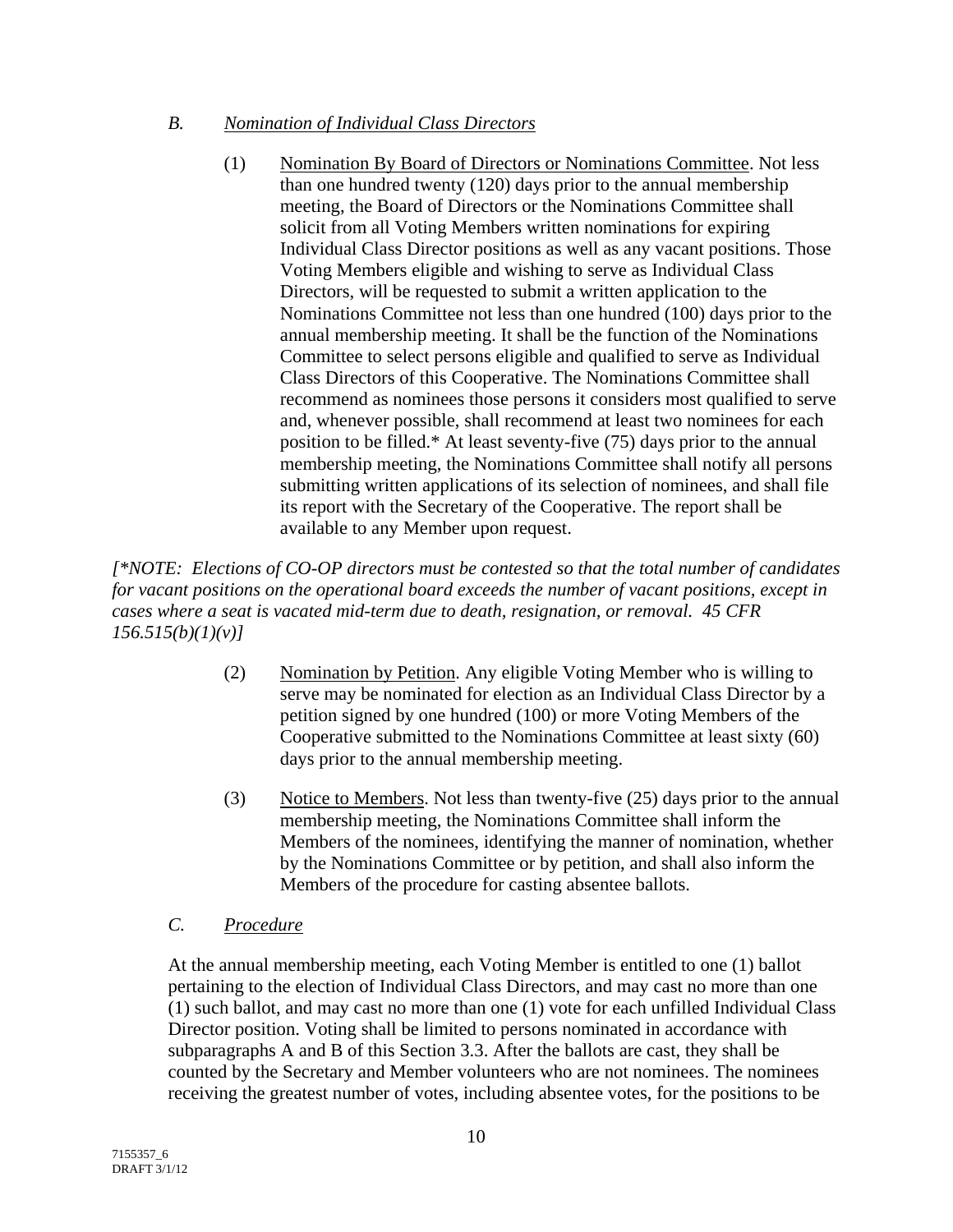### *B. Nomination of Individual Class Directors*

(1) Nomination By Board of Directors or Nominations Committee. Not less than one hundred twenty (120) days prior to the annual membership meeting, the Board of Directors or the Nominations Committee shall solicit from all Voting Members written nominations for expiring Individual Class Director positions as well as any vacant positions. Those Voting Members eligible and wishing to serve as Individual Class Directors, will be requested to submit a written application to the Nominations Committee not less than one hundred (100) days prior to the annual membership meeting. It shall be the function of the Nominations Committee to select persons eligible and qualified to serve as Individual Class Directors of this Cooperative. The Nominations Committee shall recommend as nominees those persons it considers most qualified to serve and, whenever possible, shall recommend at least two nominees for each position to be filled.\* At least seventy-five (75) days prior to the annual membership meeting, the Nominations Committee shall notify all persons submitting written applications of its selection of nominees, and shall file its report with the Secretary of the Cooperative. The report shall be available to any Member upon request.

*[\*NOTE: Elections of CO-OP directors must be contested so that the total number of candidates for vacant positions on the operational board exceeds the number of vacant positions, except in cases where a seat is vacated mid-term due to death, resignation, or removal. 45 CFR 156.515(b)(1)(v)]* 

- (2) Nomination by Petition. Any eligible Voting Member who is willing to serve may be nominated for election as an Individual Class Director by a petition signed by one hundred (100) or more Voting Members of the Cooperative submitted to the Nominations Committee at least sixty (60) days prior to the annual membership meeting.
- (3) Notice to Members. Not less than twenty-five (25) days prior to the annual membership meeting, the Nominations Committee shall inform the Members of the nominees, identifying the manner of nomination, whether by the Nominations Committee or by petition, and shall also inform the Members of the procedure for casting absentee ballots.

# *C. Procedure*

At the annual membership meeting, each Voting Member is entitled to one (1) ballot pertaining to the election of Individual Class Directors, and may cast no more than one (1) such ballot, and may cast no more than one (1) vote for each unfilled Individual Class Director position. Voting shall be limited to persons nominated in accordance with subparagraphs A and B of this Section 3.3. After the ballots are cast, they shall be counted by the Secretary and Member volunteers who are not nominees. The nominees receiving the greatest number of votes, including absentee votes, for the positions to be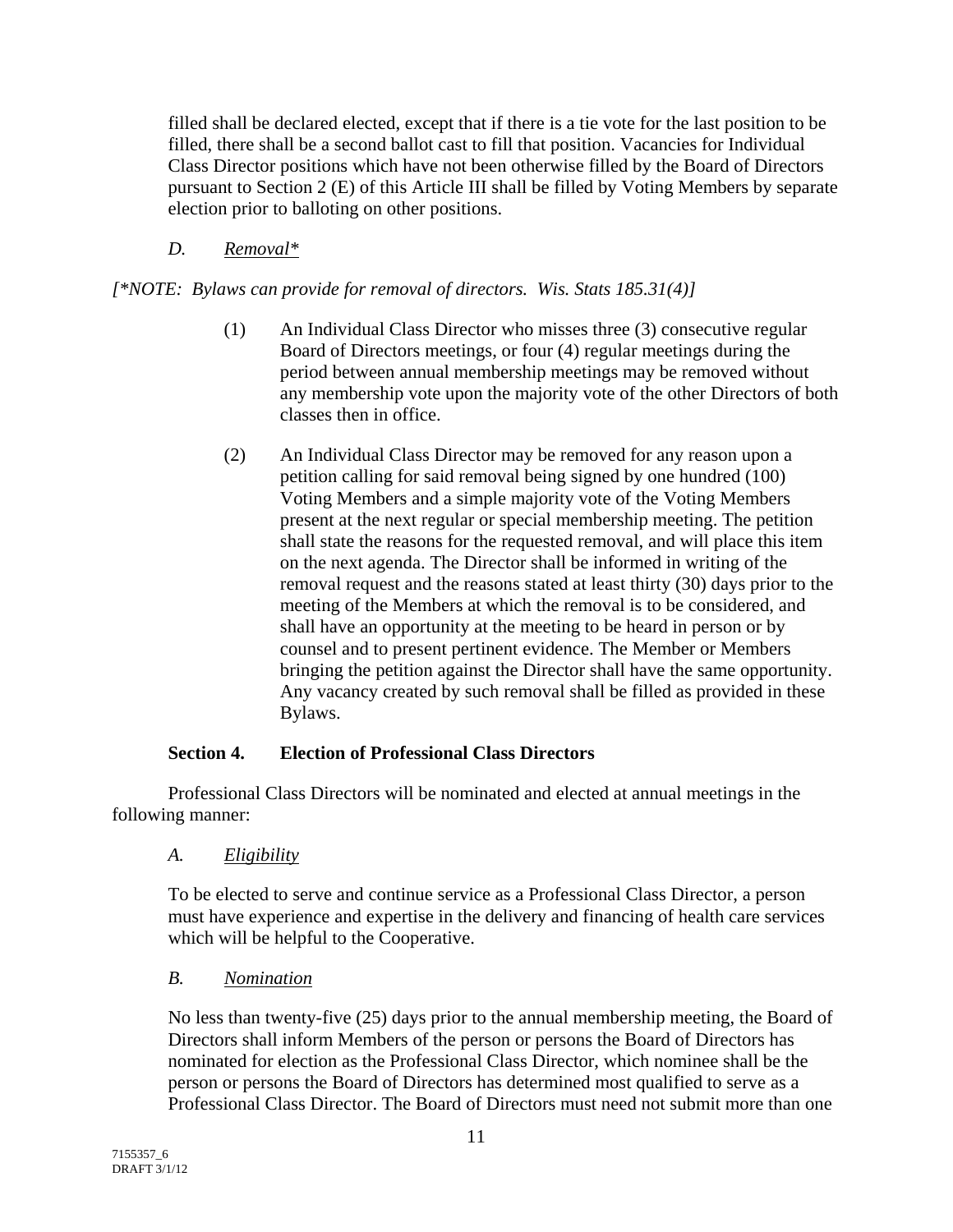filled shall be declared elected, except that if there is a tie vote for the last position to be filled, there shall be a second ballot cast to fill that position. Vacancies for Individual Class Director positions which have not been otherwise filled by the Board of Directors pursuant to Section 2 (E) of this Article III shall be filled by Voting Members by separate election prior to balloting on other positions.

### *D. Removal\**

*[\*NOTE: Bylaws can provide for removal of directors. Wis. Stats 185.31(4)]* 

- (1) An Individual Class Director who misses three (3) consecutive regular Board of Directors meetings, or four (4) regular meetings during the period between annual membership meetings may be removed without any membership vote upon the majority vote of the other Directors of both classes then in office.
- (2) An Individual Class Director may be removed for any reason upon a petition calling for said removal being signed by one hundred (100) Voting Members and a simple majority vote of the Voting Members present at the next regular or special membership meeting. The petition shall state the reasons for the requested removal, and will place this item on the next agenda. The Director shall be informed in writing of the removal request and the reasons stated at least thirty (30) days prior to the meeting of the Members at which the removal is to be considered, and shall have an opportunity at the meeting to be heard in person or by counsel and to present pertinent evidence. The Member or Members bringing the petition against the Director shall have the same opportunity. Any vacancy created by such removal shall be filled as provided in these Bylaws.

### **Section 4. Election of Professional Class Directors**

Professional Class Directors will be nominated and elected at annual meetings in the following manner:

*A. Eligibility*

To be elected to serve and continue service as a Professional Class Director, a person must have experience and expertise in the delivery and financing of health care services which will be helpful to the Cooperative.

### *B. Nomination*

No less than twenty-five (25) days prior to the annual membership meeting, the Board of Directors shall inform Members of the person or persons the Board of Directors has nominated for election as the Professional Class Director, which nominee shall be the person or persons the Board of Directors has determined most qualified to serve as a Professional Class Director. The Board of Directors must need not submit more than one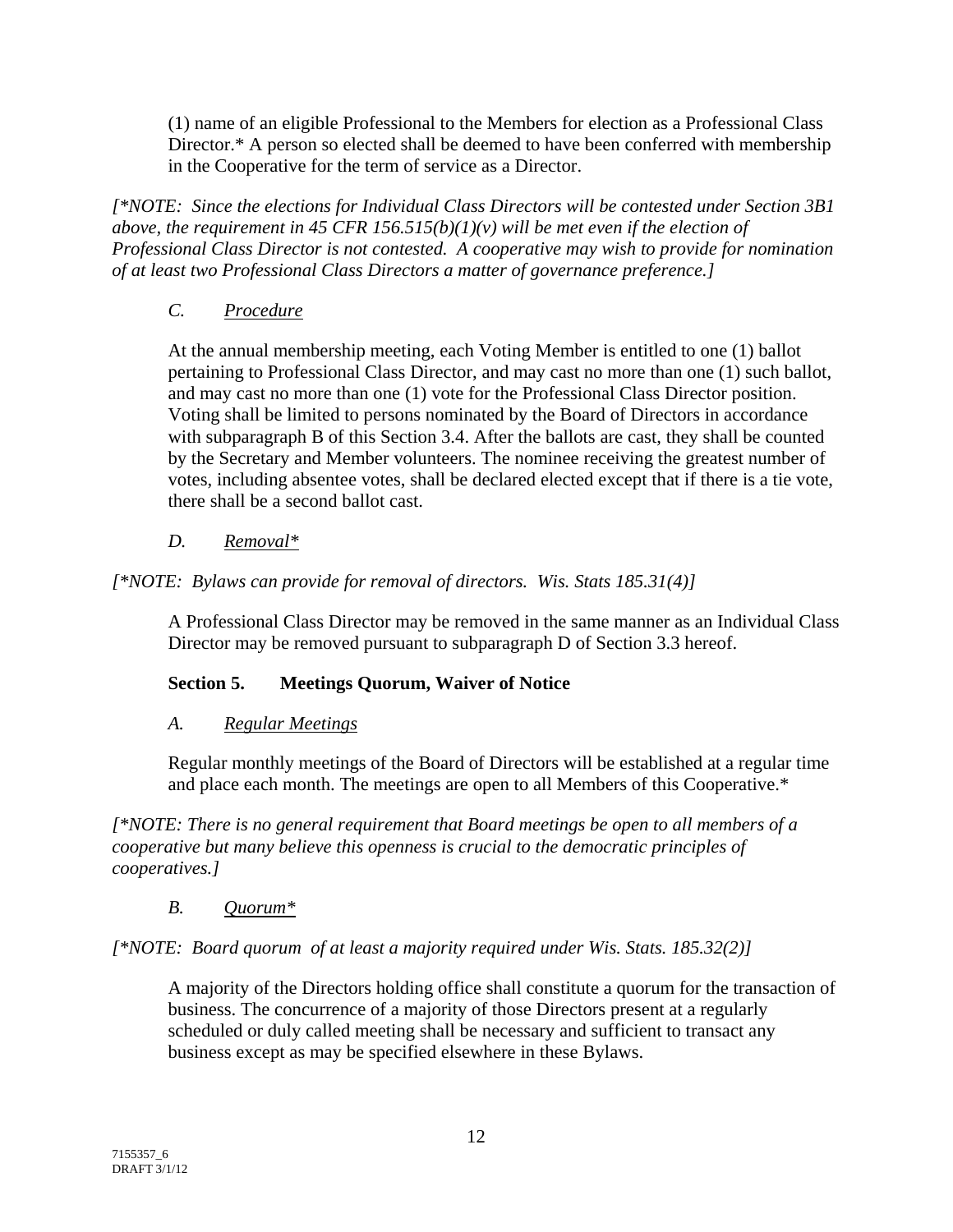(1) name of an eligible Professional to the Members for election as a Professional Class Director.\* A person so elected shall be deemed to have been conferred with membership in the Cooperative for the term of service as a Director.

*[\*NOTE: Since the elections for Individual Class Directors will be contested under Section 3B1 above, the requirement in 45 CFR 156.515(b)(1)(v) will be met even if the election of Professional Class Director is not contested. A cooperative may wish to provide for nomination of at least two Professional Class Directors a matter of governance preference.]* 

### *C. Procedure*

At the annual membership meeting, each Voting Member is entitled to one (1) ballot pertaining to Professional Class Director, and may cast no more than one (1) such ballot, and may cast no more than one (1) vote for the Professional Class Director position. Voting shall be limited to persons nominated by the Board of Directors in accordance with subparagraph B of this Section 3.4. After the ballots are cast, they shall be counted by the Secretary and Member volunteers. The nominee receiving the greatest number of votes, including absentee votes, shall be declared elected except that if there is a tie vote, there shall be a second ballot cast.

## *D. Removal\**

## *[\*NOTE: Bylaws can provide for removal of directors. Wis. Stats 185.31(4)]*

A Professional Class Director may be removed in the same manner as an Individual Class Director may be removed pursuant to subparagraph D of Section 3.3 hereof.

### **Section 5. Meetings Quorum, Waiver of Notice**

### *A. Regular Meetings*

Regular monthly meetings of the Board of Directors will be established at a regular time and place each month. The meetings are open to all Members of this Cooperative.\*

*[\*NOTE: There is no general requirement that Board meetings be open to all members of a cooperative but many believe this openness is crucial to the democratic principles of cooperatives.]* 

### *B. Quorum\**

*[\*NOTE: Board quorum of at least a majority required under Wis. Stats. 185.32(2)]* 

A majority of the Directors holding office shall constitute a quorum for the transaction of business. The concurrence of a majority of those Directors present at a regularly scheduled or duly called meeting shall be necessary and sufficient to transact any business except as may be specified elsewhere in these Bylaws.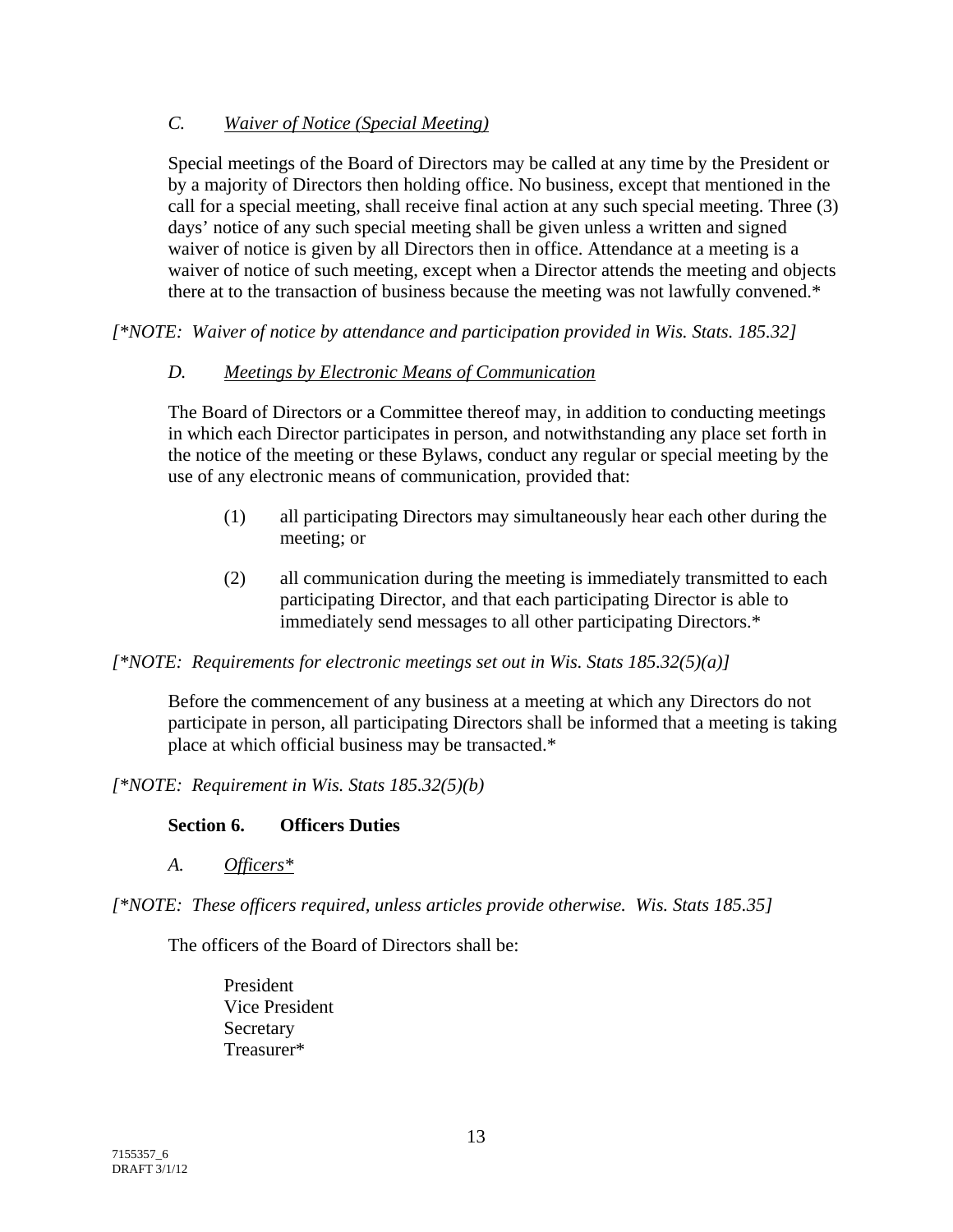## *C. Waiver of Notice (Special Meeting)*

Special meetings of the Board of Directors may be called at any time by the President or by a majority of Directors then holding office. No business, except that mentioned in the call for a special meeting, shall receive final action at any such special meeting. Three (3) days' notice of any such special meeting shall be given unless a written and signed waiver of notice is given by all Directors then in office. Attendance at a meeting is a waiver of notice of such meeting, except when a Director attends the meeting and objects there at to the transaction of business because the meeting was not lawfully convened.\*

*[\*NOTE: Waiver of notice by attendance and participation provided in Wis. Stats. 185.32]* 

## *D. Meetings by Electronic Means of Communication*

The Board of Directors or a Committee thereof may, in addition to conducting meetings in which each Director participates in person, and notwithstanding any place set forth in the notice of the meeting or these Bylaws, conduct any regular or special meeting by the use of any electronic means of communication, provided that:

- (1) all participating Directors may simultaneously hear each other during the meeting; or
- (2) all communication during the meeting is immediately transmitted to each participating Director, and that each participating Director is able to immediately send messages to all other participating Directors.\*

### *[\*NOTE: Requirements for electronic meetings set out in Wis. Stats 185.32(5)(a)]*

Before the commencement of any business at a meeting at which any Directors do not participate in person, all participating Directors shall be informed that a meeting is taking place at which official business may be transacted.\*

*[\*NOTE: Requirement in Wis. Stats 185.32(5)(b)* 

### **Section 6. Officers Duties**

*A. Officers\**

*[\*NOTE: These officers required, unless articles provide otherwise. Wis. Stats 185.35]* 

The officers of the Board of Directors shall be:

President Vice President **Secretary** Treasurer\*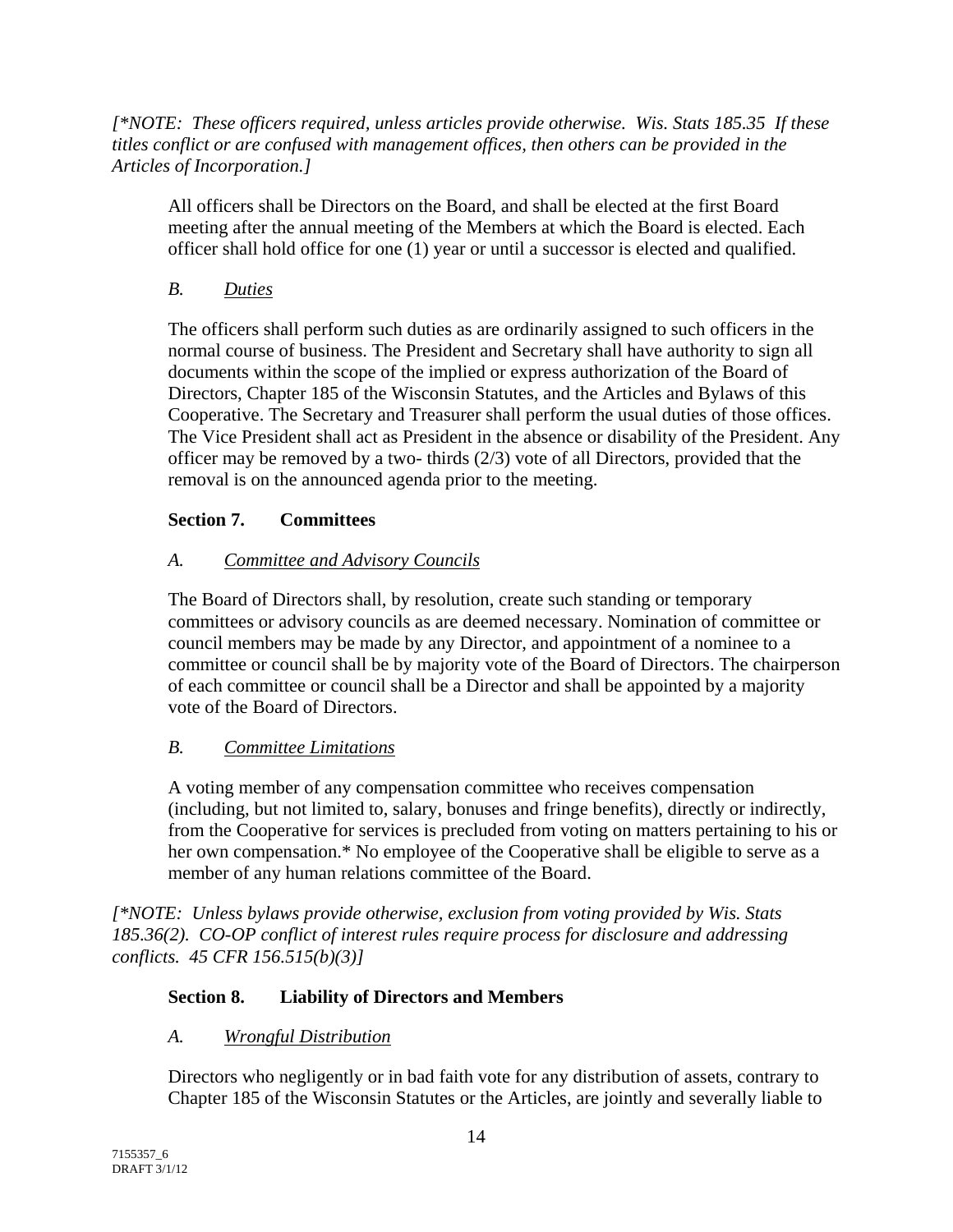*[\*NOTE: These officers required, unless articles provide otherwise. Wis. Stats 185.35 If these titles conflict or are confused with management offices, then others can be provided in the Articles of Incorporation.]* 

All officers shall be Directors on the Board, and shall be elected at the first Board meeting after the annual meeting of the Members at which the Board is elected. Each officer shall hold office for one (1) year or until a successor is elected and qualified.

# *B. Duties*

The officers shall perform such duties as are ordinarily assigned to such officers in the normal course of business. The President and Secretary shall have authority to sign all documents within the scope of the implied or express authorization of the Board of Directors, Chapter 185 of the Wisconsin Statutes, and the Articles and Bylaws of this Cooperative. The Secretary and Treasurer shall perform the usual duties of those offices. The Vice President shall act as President in the absence or disability of the President. Any officer may be removed by a two- thirds  $(2/3)$  vote of all Directors, provided that the removal is on the announced agenda prior to the meeting.

# **Section 7. Committees**

# *A. Committee and Advisory Councils*

The Board of Directors shall, by resolution, create such standing or temporary committees or advisory councils as are deemed necessary. Nomination of committee or council members may be made by any Director, and appointment of a nominee to a committee or council shall be by majority vote of the Board of Directors. The chairperson of each committee or council shall be a Director and shall be appointed by a majority vote of the Board of Directors.

# *B. Committee Limitations*

A voting member of any compensation committee who receives compensation (including, but not limited to, salary, bonuses and fringe benefits), directly or indirectly, from the Cooperative for services is precluded from voting on matters pertaining to his or her own compensation.\* No employee of the Cooperative shall be eligible to serve as a member of any human relations committee of the Board.

*[\*NOTE: Unless bylaws provide otherwise, exclusion from voting provided by Wis. Stats 185.36(2). CO-OP conflict of interest rules require process for disclosure and addressing conflicts. 45 CFR 156.515(b)(3)]* 

# **Section 8. Liability of Directors and Members**

# *A. Wrongful Distribution*

Directors who negligently or in bad faith vote for any distribution of assets, contrary to Chapter 185 of the Wisconsin Statutes or the Articles, are jointly and severally liable to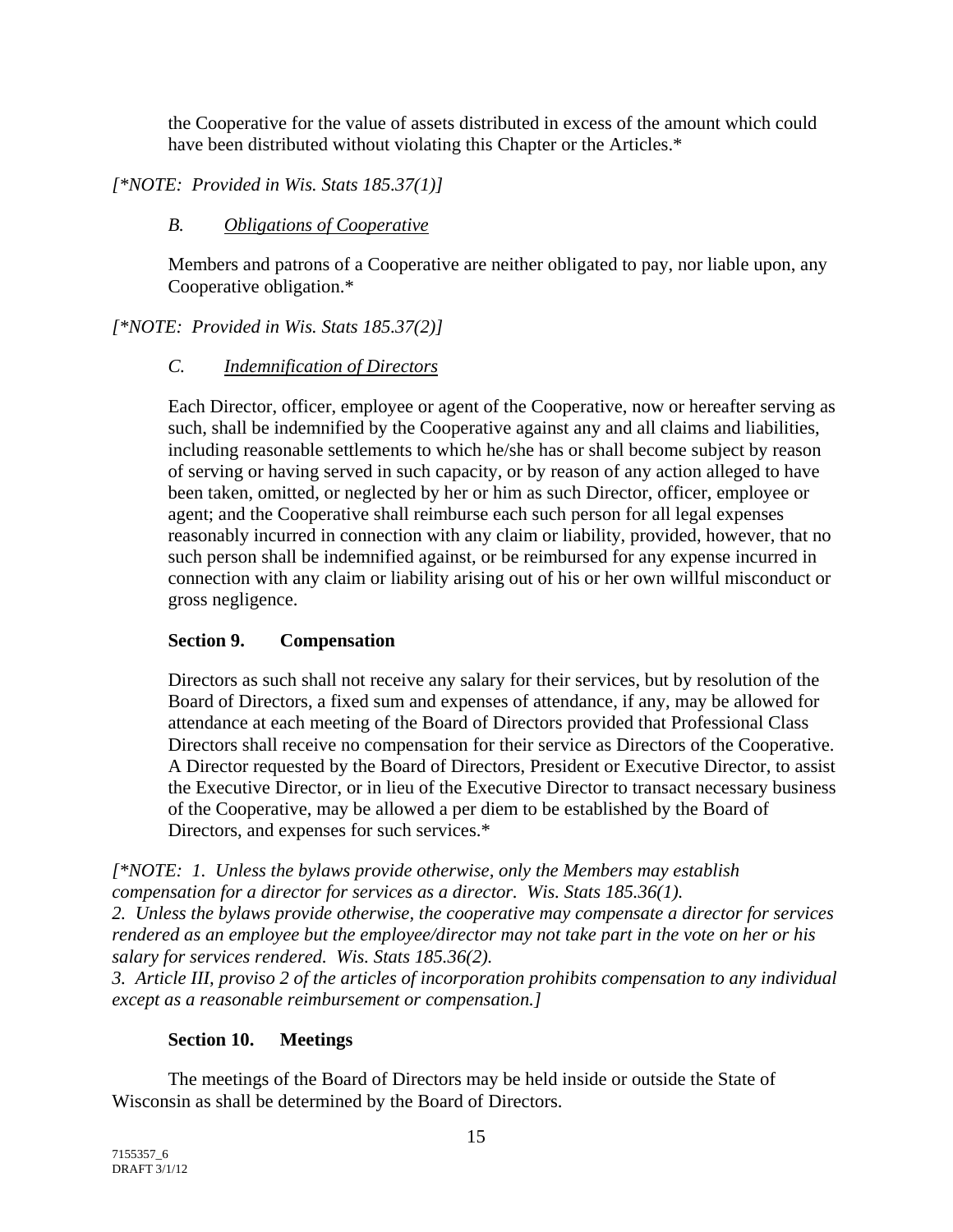the Cooperative for the value of assets distributed in excess of the amount which could have been distributed without violating this Chapter or the Articles.\*

*[\*NOTE: Provided in Wis. Stats 185.37(1)]* 

## *B. Obligations of Cooperative*

Members and patrons of a Cooperative are neither obligated to pay, nor liable upon, any Cooperative obligation.\*

*[\*NOTE: Provided in Wis. Stats 185.37(2)]* 

## *C. Indemnification of Directors*

Each Director, officer, employee or agent of the Cooperative, now or hereafter serving as such, shall be indemnified by the Cooperative against any and all claims and liabilities, including reasonable settlements to which he/she has or shall become subject by reason of serving or having served in such capacity, or by reason of any action alleged to have been taken, omitted, or neglected by her or him as such Director, officer, employee or agent; and the Cooperative shall reimburse each such person for all legal expenses reasonably incurred in connection with any claim or liability, provided, however, that no such person shall be indemnified against, or be reimbursed for any expense incurred in connection with any claim or liability arising out of his or her own willful misconduct or gross negligence.

### **Section 9. Compensation**

Directors as such shall not receive any salary for their services, but by resolution of the Board of Directors, a fixed sum and expenses of attendance, if any, may be allowed for attendance at each meeting of the Board of Directors provided that Professional Class Directors shall receive no compensation for their service as Directors of the Cooperative. A Director requested by the Board of Directors, President or Executive Director, to assist the Executive Director, or in lieu of the Executive Director to transact necessary business of the Cooperative, may be allowed a per diem to be established by the Board of Directors, and expenses for such services.\*

*[\*NOTE: 1. Unless the bylaws provide otherwise, only the Members may establish compensation for a director for services as a director. Wis. Stats 185.36(1).* 

*2. Unless the bylaws provide otherwise, the cooperative may compensate a director for services rendered as an employee but the employee/director may not take part in the vote on her or his salary for services rendered. Wis. Stats 185.36(2).* 

*3. Article III, proviso 2 of the articles of incorporation prohibits compensation to any individual except as a reasonable reimbursement or compensation.]* 

# **Section 10. Meetings**

The meetings of the Board of Directors may be held inside or outside the State of Wisconsin as shall be determined by the Board of Directors.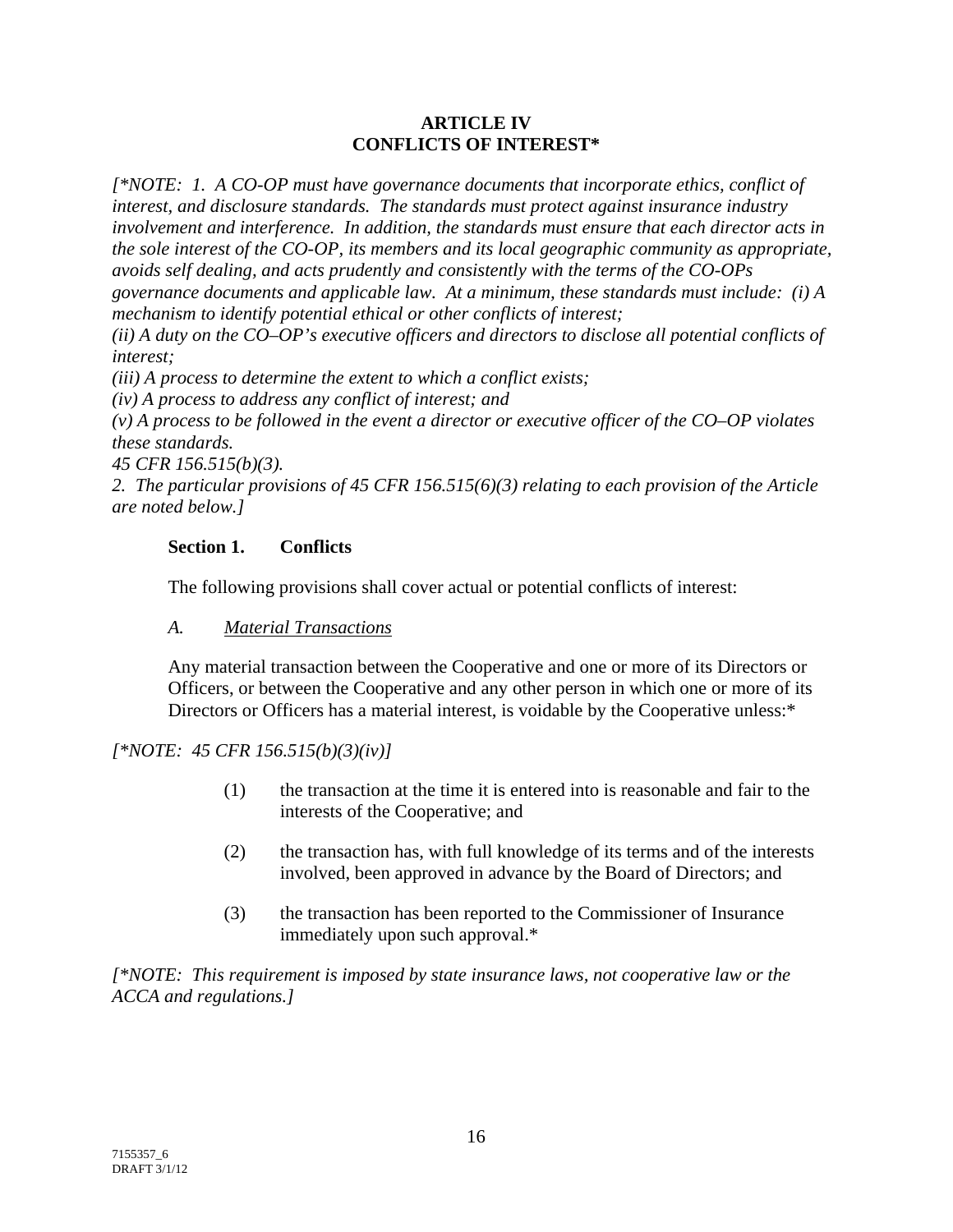### **ARTICLE IV CONFLICTS OF INTEREST\***

*[\*NOTE: 1. A CO-OP must have governance documents that incorporate ethics, conflict of interest, and disclosure standards. The standards must protect against insurance industry involvement and interference. In addition, the standards must ensure that each director acts in the sole interest of the CO-OP, its members and its local geographic community as appropriate, avoids self dealing, and acts prudently and consistently with the terms of the CO-OPs governance documents and applicable law. At a minimum, these standards must include: (i) A* 

*mechanism to identify potential ethical or other conflicts of interest;* 

*(ii) A duty on the CO–OP's executive officers and directors to disclose all potential conflicts of interest;* 

*(iii) A process to determine the extent to which a conflict exists;* 

*(iv) A process to address any conflict of interest; and* 

*(v) A process to be followed in the event a director or executive officer of the CO–OP violates these standards.* 

*45 CFR 156.515(b)(3).* 

*2. The particular provisions of 45 CFR 156.515(6)(3) relating to each provision of the Article are noted below.]* 

#### **Section 1. Conflicts**

The following provisions shall cover actual or potential conflicts of interest:

### *A. Material Transactions*

Any material transaction between the Cooperative and one or more of its Directors or Officers, or between the Cooperative and any other person in which one or more of its Directors or Officers has a material interest, is voidable by the Cooperative unless:\*

### *[\*NOTE: 45 CFR 156.515(b)(3)(iv)]*

- (1) the transaction at the time it is entered into is reasonable and fair to the interests of the Cooperative; and
- (2) the transaction has, with full knowledge of its terms and of the interests involved, been approved in advance by the Board of Directors; and
- (3) the transaction has been reported to the Commissioner of Insurance immediately upon such approval.\*

*[\*NOTE: This requirement is imposed by state insurance laws, not cooperative law or the ACCA and regulations.]*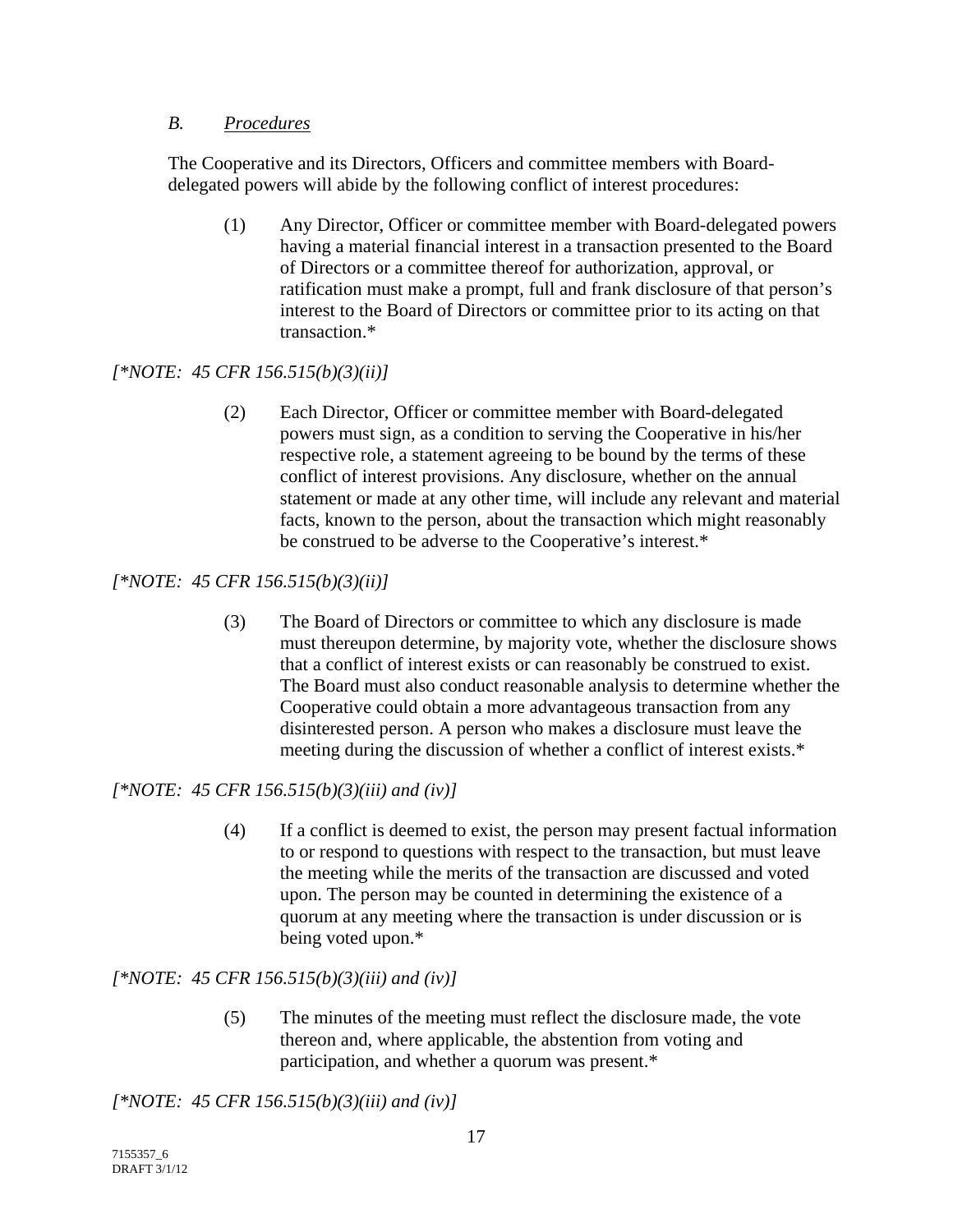### *B. Procedures*

The Cooperative and its Directors, Officers and committee members with Boarddelegated powers will abide by the following conflict of interest procedures:

(1) Any Director, Officer or committee member with Board-delegated powers having a material financial interest in a transaction presented to the Board of Directors or a committee thereof for authorization, approval, or ratification must make a prompt, full and frank disclosure of that person's interest to the Board of Directors or committee prior to its acting on that transaction.\*

# *[\*NOTE: 45 CFR 156.515(b)(3)(ii)]*

(2) Each Director, Officer or committee member with Board-delegated powers must sign, as a condition to serving the Cooperative in his/her respective role, a statement agreeing to be bound by the terms of these conflict of interest provisions. Any disclosure, whether on the annual statement or made at any other time, will include any relevant and material facts, known to the person, about the transaction which might reasonably be construed to be adverse to the Cooperative's interest.\*

# *[\*NOTE: 45 CFR 156.515(b)(3)(ii)]*

(3) The Board of Directors or committee to which any disclosure is made must thereupon determine, by majority vote, whether the disclosure shows that a conflict of interest exists or can reasonably be construed to exist. The Board must also conduct reasonable analysis to determine whether the Cooperative could obtain a more advantageous transaction from any disinterested person. A person who makes a disclosure must leave the meeting during the discussion of whether a conflict of interest exists.\*

# *[\*NOTE: 45 CFR 156.515(b)(3)(iii) and (iv)]*

(4) If a conflict is deemed to exist, the person may present factual information to or respond to questions with respect to the transaction, but must leave the meeting while the merits of the transaction are discussed and voted upon. The person may be counted in determining the existence of a quorum at any meeting where the transaction is under discussion or is being voted upon.\*

# *[\*NOTE: 45 CFR 156.515(b)(3)(iii) and (iv)]*

(5) The minutes of the meeting must reflect the disclosure made, the vote thereon and, where applicable, the abstention from voting and participation, and whether a quorum was present.\*

*[\*NOTE: 45 CFR 156.515(b)(3)(iii) and (iv)]*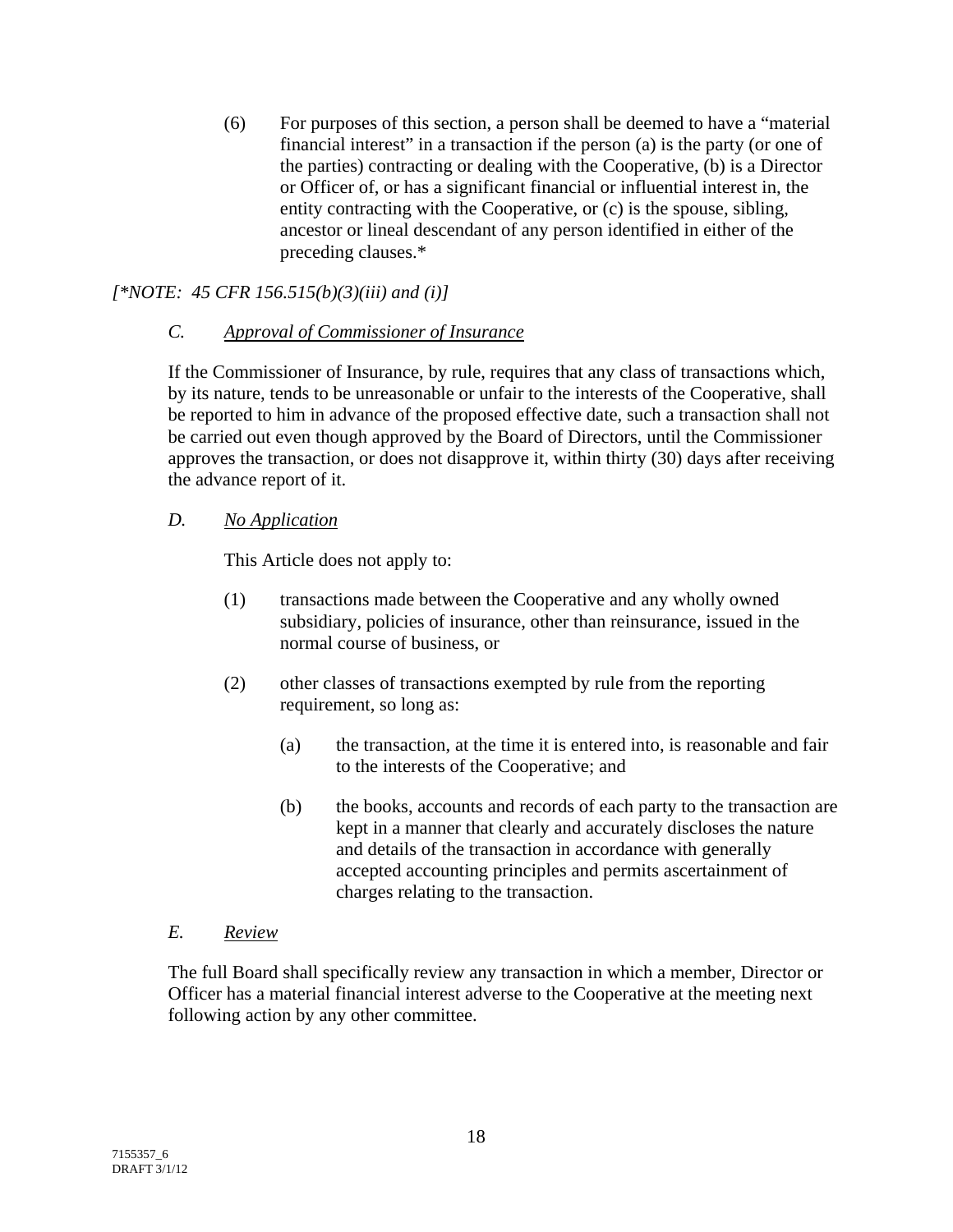(6) For purposes of this section, a person shall be deemed to have a "material financial interest" in a transaction if the person (a) is the party (or one of the parties) contracting or dealing with the Cooperative, (b) is a Director or Officer of, or has a significant financial or influential interest in, the entity contracting with the Cooperative, or (c) is the spouse, sibling, ancestor or lineal descendant of any person identified in either of the preceding clauses.\*

# *[\*NOTE: 45 CFR 156.515(b)(3)(iii) and (i)]*

### *C. Approval of Commissioner of Insurance*

If the Commissioner of Insurance, by rule, requires that any class of transactions which, by its nature, tends to be unreasonable or unfair to the interests of the Cooperative, shall be reported to him in advance of the proposed effective date, such a transaction shall not be carried out even though approved by the Board of Directors, until the Commissioner approves the transaction, or does not disapprove it, within thirty (30) days after receiving the advance report of it.

## *D. No Application*

This Article does not apply to:

- (1) transactions made between the Cooperative and any wholly owned subsidiary, policies of insurance, other than reinsurance, issued in the normal course of business, or
- (2) other classes of transactions exempted by rule from the reporting requirement, so long as:
	- (a) the transaction, at the time it is entered into, is reasonable and fair to the interests of the Cooperative; and
	- (b) the books, accounts and records of each party to the transaction are kept in a manner that clearly and accurately discloses the nature and details of the transaction in accordance with generally accepted accounting principles and permits ascertainment of charges relating to the transaction.

### *E. Review*

The full Board shall specifically review any transaction in which a member, Director or Officer has a material financial interest adverse to the Cooperative at the meeting next following action by any other committee.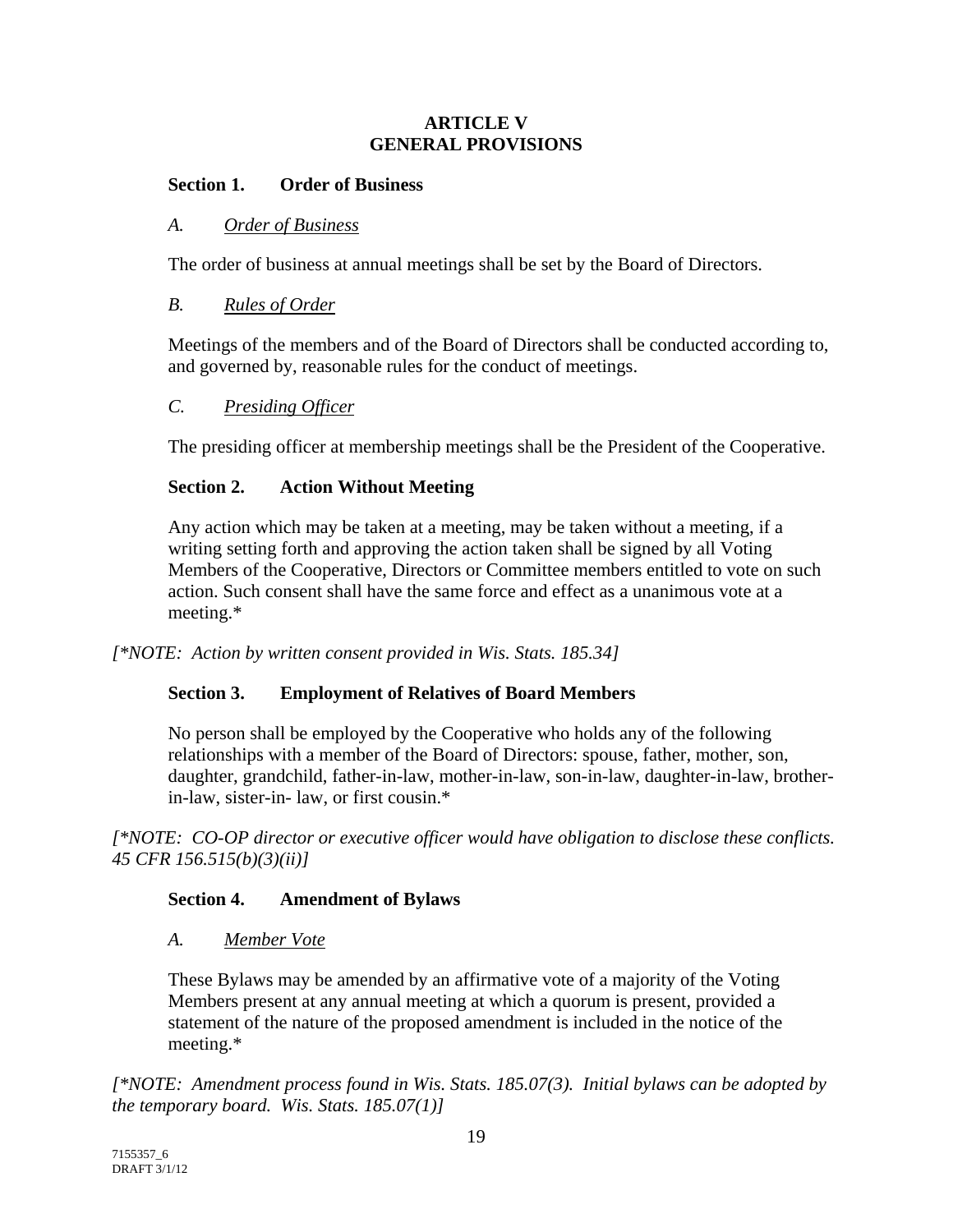#### **ARTICLE V GENERAL PROVISIONS**

### **Section 1. Order of Business**

#### *A. Order of Business*

The order of business at annual meetings shall be set by the Board of Directors.

#### *B. Rules of Order*

Meetings of the members and of the Board of Directors shall be conducted according to, and governed by, reasonable rules for the conduct of meetings.

#### *C. Presiding Officer*

The presiding officer at membership meetings shall be the President of the Cooperative.

#### **Section 2. Action Without Meeting**

Any action which may be taken at a meeting, may be taken without a meeting, if a writing setting forth and approving the action taken shall be signed by all Voting Members of the Cooperative, Directors or Committee members entitled to vote on such action. Such consent shall have the same force and effect as a unanimous vote at a meeting.\*

*[\*NOTE: Action by written consent provided in Wis. Stats. 185.34]* 

#### **Section 3. Employment of Relatives of Board Members**

No person shall be employed by the Cooperative who holds any of the following relationships with a member of the Board of Directors: spouse, father, mother, son, daughter, grandchild, father-in-law, mother-in-law, son-in-law, daughter-in-law, brotherin-law, sister-in- law, or first cousin.\*

*[\*NOTE: CO-OP director or executive officer would have obligation to disclose these conflicts. 45 CFR 156.515(b)(3)(ii)]* 

### **Section 4. Amendment of Bylaws**

#### *A. Member Vote*

These Bylaws may be amended by an affirmative vote of a majority of the Voting Members present at any annual meeting at which a quorum is present, provided a statement of the nature of the proposed amendment is included in the notice of the meeting.\*

*[\*NOTE: Amendment process found in Wis. Stats. 185.07(3). Initial bylaws can be adopted by the temporary board. Wis. Stats. 185.07(1)]*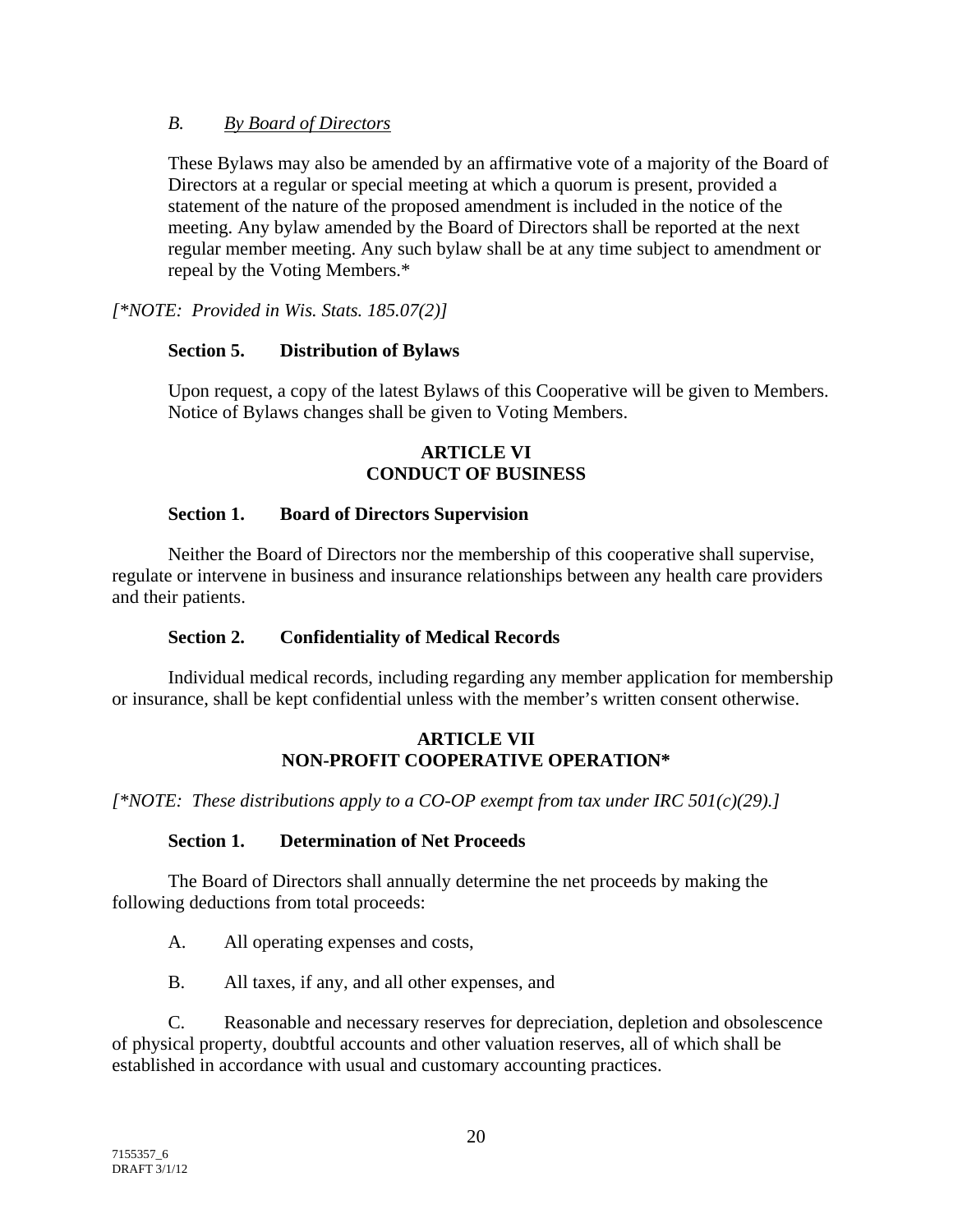### *B. By Board of Directors*

These Bylaws may also be amended by an affirmative vote of a majority of the Board of Directors at a regular or special meeting at which a quorum is present, provided a statement of the nature of the proposed amendment is included in the notice of the meeting. Any bylaw amended by the Board of Directors shall be reported at the next regular member meeting. Any such bylaw shall be at any time subject to amendment or repeal by the Voting Members.\*

*[\*NOTE: Provided in Wis. Stats. 185.07(2)]* 

### **Section 5. Distribution of Bylaws**

Upon request, a copy of the latest Bylaws of this Cooperative will be given to Members. Notice of Bylaws changes shall be given to Voting Members.

#### **ARTICLE VI CONDUCT OF BUSINESS**

### **Section 1. Board of Directors Supervision**

Neither the Board of Directors nor the membership of this cooperative shall supervise, regulate or intervene in business and insurance relationships between any health care providers and their patients.

### **Section 2. Confidentiality of Medical Records**

Individual medical records, including regarding any member application for membership or insurance, shall be kept confidential unless with the member's written consent otherwise.

### **ARTICLE VII NON-PROFIT COOPERATIVE OPERATION\***

*[\*NOTE: These distributions apply to a CO-OP exempt from tax under IRC 501(c)(29).]* 

### **Section 1. Determination of Net Proceeds**

The Board of Directors shall annually determine the net proceeds by making the following deductions from total proceeds:

A. All operating expenses and costs,

B. All taxes, if any, and all other expenses, and

C. Reasonable and necessary reserves for depreciation, depletion and obsolescence of physical property, doubtful accounts and other valuation reserves, all of which shall be established in accordance with usual and customary accounting practices.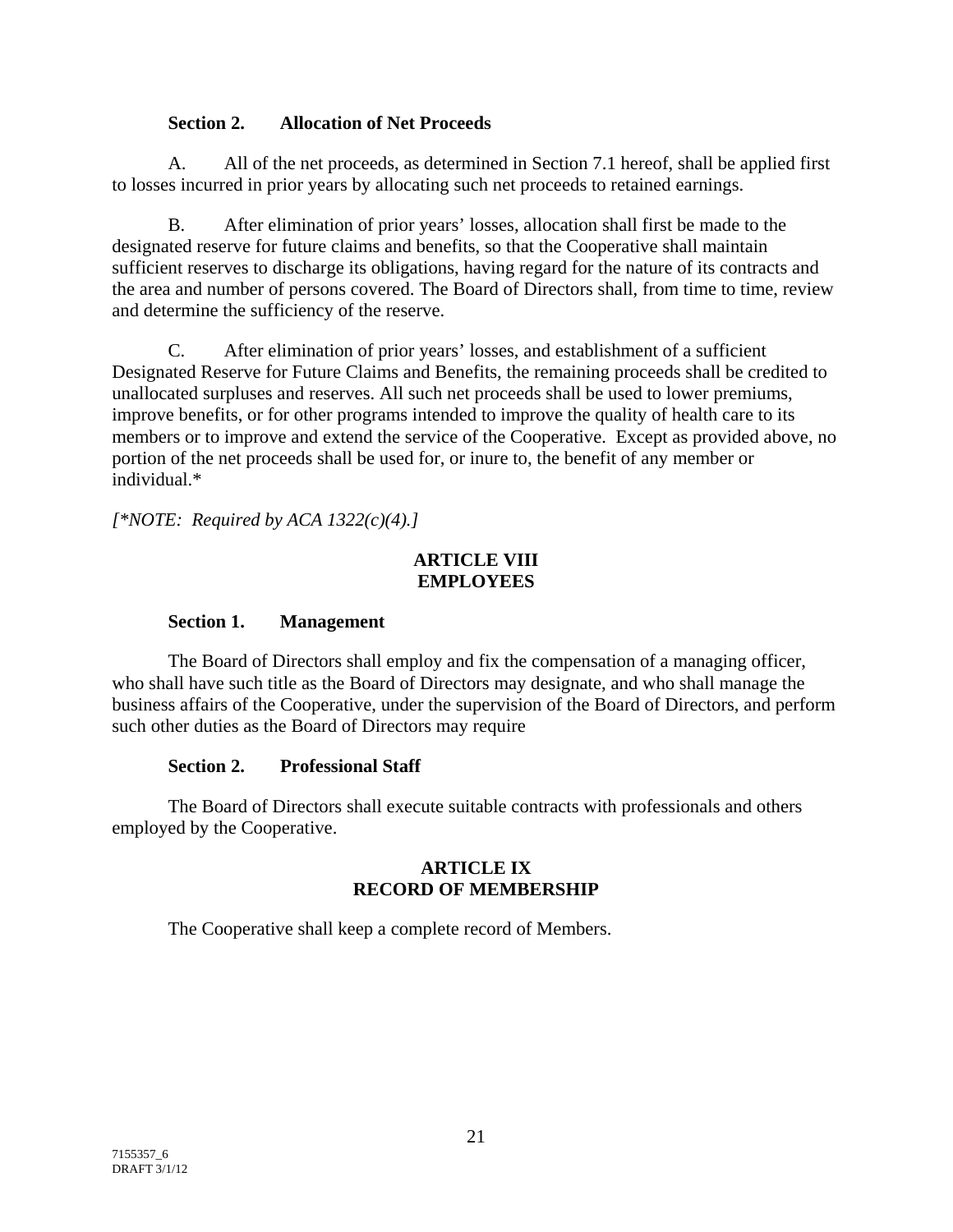### **Section 2. Allocation of Net Proceeds**

A. All of the net proceeds, as determined in Section 7.1 hereof, shall be applied first to losses incurred in prior years by allocating such net proceeds to retained earnings.

B. After elimination of prior years' losses, allocation shall first be made to the designated reserve for future claims and benefits, so that the Cooperative shall maintain sufficient reserves to discharge its obligations, having regard for the nature of its contracts and the area and number of persons covered. The Board of Directors shall, from time to time, review and determine the sufficiency of the reserve.

C. After elimination of prior years' losses, and establishment of a sufficient Designated Reserve for Future Claims and Benefits, the remaining proceeds shall be credited to unallocated surpluses and reserves. All such net proceeds shall be used to lower premiums, improve benefits, or for other programs intended to improve the quality of health care to its members or to improve and extend the service of the Cooperative. Except as provided above, no portion of the net proceeds shall be used for, or inure to, the benefit of any member or individual.\*

*[\*NOTE: Required by ACA 1322(c)(4).]* 

#### **ARTICLE VIII EMPLOYEES**

#### **Section 1. Management**

The Board of Directors shall employ and fix the compensation of a managing officer, who shall have such title as the Board of Directors may designate, and who shall manage the business affairs of the Cooperative, under the supervision of the Board of Directors, and perform such other duties as the Board of Directors may require

### **Section 2. Professional Staff**

The Board of Directors shall execute suitable contracts with professionals and others employed by the Cooperative.

### **ARTICLE IX RECORD OF MEMBERSHIP**

The Cooperative shall keep a complete record of Members.